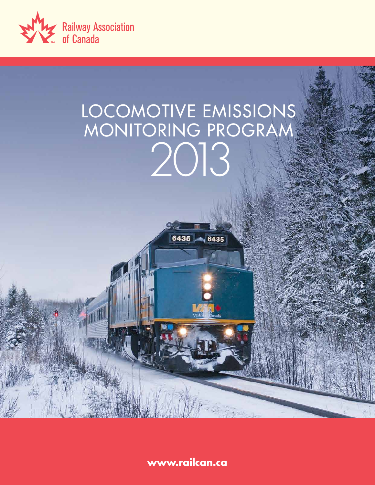

# LOCOMOTIVE EMISSIONS MONITORING PROGRAM 2013

 $6435, 6435$ 

**www.railcan.ca**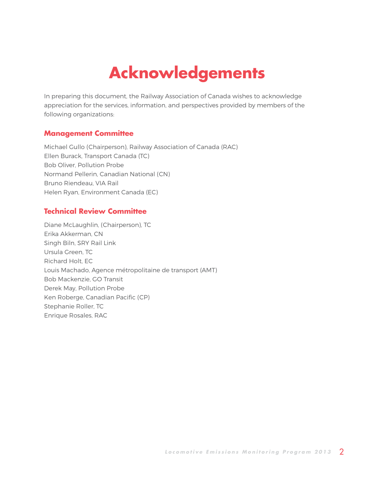# **Acknowledgements**

In preparing this document, the Railway Association of Canada wishes to acknowledge appreciation for the services, information, and perspectives provided by members of the following organizations:

### **Management Committee**

Michael Gullo (Chairperson), Railway Association of Canada (RAC) Ellen Burack, Transport Canada (TC) Bob Oliver, Pollution Probe Normand Pellerin, Canadian National (CN) Bruno Riendeau, VIA Rail Helen Ryan, Environment Canada (EC)

### **Technical Review Committee**

Diane McLaughlin, (Chairperson), TC Erika Akkerman, CN Singh Biln, SRY Rail Link Ursula Green, TC Richard Holt, EC Louis Machado, Agence métropolitaine de transport (AMT) Bob Mackenzie, GO Transit Derek May, Pollution Probe Ken Roberge, Canadian Pacific (CP) Stephanie Roller, TC Enrique Rosales, RAC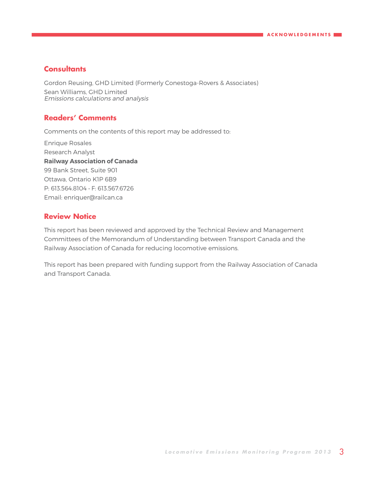### **Consultants**

Gordon Reusing, GHD Limited (Formerly Conestoga-Rovers & Associates) Sean Williams, GHD Limited Emissions calculations and analysis

### **Readers' Comments**

Comments on the contents of this report may be addressed to:

Enrique Rosales Research Analyst **Railway Association of Canada** 99 Bank Street, Suite 901 Ottawa, Ontario K1P 6B9 P: 613.564.8104 • F: 613.567.6726 Email: [enriquer@railcan.ca](mailto:enriquer%40railcan.ca?subject=Comments) 

### **Review Notice**

This report has been reviewed and approved by the Technical Review and Management Committees of the Memorandum of Understanding between Transport Canada and the Railway Association of Canada for reducing locomotive emissions.

This report has been prepared with funding support from the Railway Association of Canada and Transport Canada.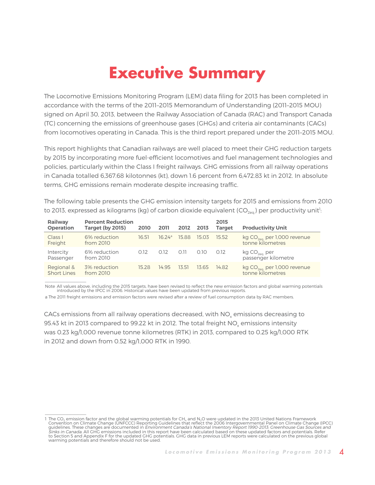# **Executive Summary**

<span id="page-3-0"></span>The Locomotive Emissions Monitoring Program (LEM) data filing for 2013 has been completed in accordance with the terms of the 2011–2015 Memorandum of Understanding (2011–2015 MOU) signed on April 30, 2013, between the Railway Association of Canada (RAC) and Transport Canada (TC) concerning the emissions of greenhouse gases (GHGs) and criteria air contaminants (CACs) from locomotives operating in Canada. This is the third report prepared under the 2011–2015 MOU.

This report highlights that Canadian railways are well placed to meet their GHG reduction targets by 2015 by incorporating more fuel-efficient locomotives and fuel management technologies and policies, particularly within the Class I freight railways. GHG emissions from all railway operations in Canada totalled 6,367.68 kilotonnes (kt), down 1.6 percent from 6,472.83 kt in 2012. In absolute terms, GHG emissions remain moderate despite increasing traffic.

The following table presents the GHG emission intensity targets for 2015 and emissions from 2010 to 2013, expressed as kilograms (kg) of carbon dioxide equivalent (CO<sub>2eq.</sub>) per productivity unit<sup>1</sup>:

| Railway<br><b>Operation</b>      | <b>Percent Reduction</b><br>Target (by 2015) | 2010  | 2011   | 2012    | 2013  | 2015<br><b>Target</b> | <b>Productivity Unit</b>                                    |
|----------------------------------|----------------------------------------------|-------|--------|---------|-------|-----------------------|-------------------------------------------------------------|
| Class I<br>Freight               | 6% reduction<br>from 2010                    | 16.51 | 16.24a | - 15.88 | 15.03 | 15.52                 | kg CO <sub>2eq.</sub> per 1,000 revenue<br>tonne kilometres |
| Intercity<br>Passenger           | 6% reduction<br>from 2010                    | 0.12  | 0.12   | 0.11    | 0.10  | 0.12                  | kg CO <sub>2eq.</sub> per<br>passenger kilometre            |
| Regional &<br><b>Short Lines</b> | 3% reduction<br>from 2010                    | 15.28 | 14 9 5 | 13.51   | 13.65 | 14.82                 | kg CO <sub>2eq.</sub> per 1,000 revenue<br>tonne kilometres |

Note All values above, including the 2015 targets, have been revised to reflect the new emission factors and global warming potentials ntroduced by the IPCC in 2006. Historical values have been updated from previous reports

a The 2011 freight emissions and emission factors were revised after a review of fuel consumption data by RAC members.

 $\frac{1}{2}$  ,  $\frac{1}{2}$  ,  $\frac{1}{2}$  ,  $\frac{1}{2}$  ,  $\frac{1}{2}$  ,  $\frac{1}{2}$  ,  $\frac{1}{2}$  ,  $\frac{1}{2}$  ,  $\frac{1}{2}$ 

CACs emissions from all railway operations decreased, with NO<sub>v</sub> emissions decreasing to 95.43 kt in 2013 compared to 99.22 kt in 2012. The total freight NO<sub>y</sub> emissions intensity was 0.23 kg/1,000 revenue tonne kilometres (RTK) in 2013, compared to 0.25 kg/1,000 RTK in 2012 and down from 0.52 kg/1,000 RTK in 1990.

<sup>1</sup> The CO<sub>2</sub> emission factor and the global warming potentials for CH<sub>4</sub> and N<sub>2</sub>O were updated in the 2013 United Nations Framework Convention on Climate Change (UNFCCC) Reporting Guidelines that reflect the 2006 Intergovernmental Panel on Climate Change (IPCC) guidelines. These changes are documented in *Environment Canada's National Inventory Report 1990-2013: Greenhouse Gas Sources and*<br>*Sinks in Canada.* All GHG emissions included in this report have been calculated based on to Section 5 and Appendix F for the updated GHG potentials. GHG data in previous LEM reports were calculated on the previous global warming potentials and therefore should not be used.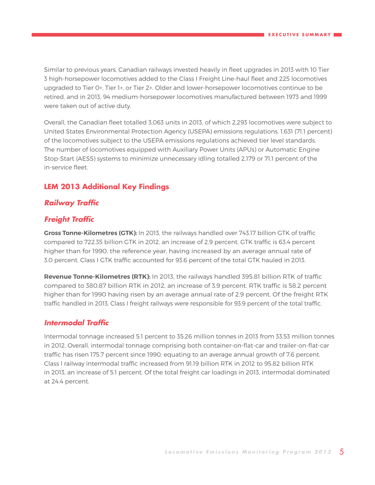Similar to previous years, Canadian railways invested heavily in fleet upgrades in 2013 with 10 Tier 3 high-horsepower locomotives added to the Class I Freight Line-haul fleet and 225 locomotives upgraded to Tier 0+, Tier 1+, or Tier 2+. Older and lower-horsepower locomotives continue to be retired, and in 2013, 94 medium-horsepower locomotives manufactured between 1973 and 1999 were taken out of active duty.

Overall, the Canadian fleet totalled 3,063 units in 2013, of which 2,293 locomotives were subject to United States Environmental Protection Agency (USEPA) emissions regulations. 1,631 (71.1 percent) of the locomotives subject to the USEPA emissions regulations achieved tier level standards. The number of locomotives equipped with Auxiliary Power Units (APUs) or Automatic Engine Stop-Start (AESS) systems to minimize unnecessary idling totalled 2,179 or 71.1 percent of the in-service fleet.

### **LEM 2013 Additional Key Findings**

### **Railway Traffic**

### **Freight Traffic**

**Gross Tonne-Kilometres (GTK):** In 2013, the railways handled over 743.17 billion GTK of traffic compared to 722.35 billion GTK in 2012, an increase of 2.9 percent. GTK traffic is 63.4 percent higher than for 1990, the reference year, having increased by an average annual rate of 3.0 percent. Class I GTK traffic accounted for 93.6 percent of the total GTK hauled in 2013.

**Revenue Tonne-Kilometres (RTK):** In 2013, the railways handled 395.81 billion RTK of traffic compared to 380.87 billion RTK in 2012, an increase of 3.9 percent. RTK traffic is 58.2 percent higher than for 1990 having risen by an average annual rate of 2.9 percent. Of the freight RTK traffic handled in 2013, Class I freight railways were responsible for 93.9 percent of the total traffic.

### **Intermodal Traffic**

Intermodal tonnage increased 5.1 percent to 35.26 million tonnes in 2013 from 33.53 million tonnes in 2012. Overall, intermodal tonnage comprising both container-on-flat-car and trailer-on-flat-car traffic has risen 175.7 percent since 1990, equating to an average annual growth of 7.6 percent. Class I railway intermodal traffic increased from 91.19 billion RTK in 2012 to 95.82 billion RTK in 2013, an increase of 5.1 percent. Of the total freight car loadings in 2013, intermodal dominated at 24.4 percent.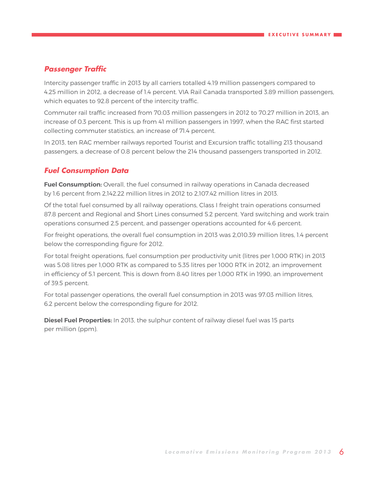### **Passenger Traffic**

Intercity passenger traffic in 2013 by all carriers totalled 4.19 million passengers compared to 4.25 million in 2012, a decrease of 1.4 percent. VIA Rail Canada transported 3.89 million passengers, which equates to 92.8 percent of the intercity traffic.

Commuter rail traffic increased from 70.03 million passengers in 2012 to 70.27 million in 2013, an increase of 0.3 percent. This is up from 41 million passengers in 1997, when the RAC first started collecting commuter statistics, an increase of 71.4 percent.

In 2013, ten RAC member railways reported Tourist and Excursion traffic totalling 213 thousand passengers, a decrease of 0.8 percent below the 214 thousand passengers transported in 2012.

### **Fuel Consumption Data**

**Fuel Consumption:** Overall, the fuel consumed in railway operations in Canada decreased by 1.6 percent from 2,142.22 million litres in 2012 to 2,107.42 million litres in 2013.

Of the total fuel consumed by all railway operations, Class I freight train operations consumed 87.8 percent and Regional and Short Lines consumed 5.2 percent. Yard switching and work train operations consumed 2.5 percent, and passenger operations accounted for 4.6 percent.

For freight operations, the overall fuel consumption in 2013 was 2,010.39 million litres, 1.4 percent below the corresponding figure for 2012.

For total freight operations, fuel consumption per productivity unit (litres per 1,000 RTK) in 2013 was 5.08 litres per 1,000 RTK as compared to 5.35 litres per 1000 RTK in 2012, an improvement in efficiency of 5.1 percent. This is down from 8.40 litres per 1,000 RTK in 1990, an improvement of 39.5 percent.

For total passenger operations, the overall fuel consumption in 2013 was 97.03 million litres, 6.2 percent below the corresponding figure for 2012.

**Diesel Fuel Properties:** In 2013, the sulphur content of railway diesel fuel was 15 parts per million (ppm).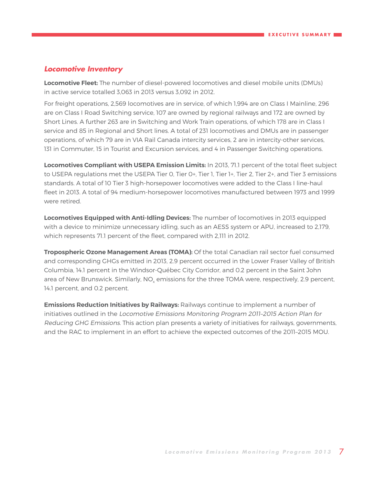### **Locomotive Inventory**

**Locomotive Fleet:** The number of diesel-powered locomotives and diesel mobile units (DMUs) in active service totalled 3,063 in 2013 versus 3,092 in 2012.

For freight operations, 2,569 locomotives are in service, of which 1,994 are on Class I Mainline, 296 are on Class I Road Switching service, 107 are owned by regional railways and 172 are owned by Short Lines. A further 263 are in Switching and Work Train operations, of which 178 are in Class I service and 85 in Regional and Short lines. A total of 231 locomotives and DMUs are in passenger operations, of which 79 are in VIA Rail Canada intercity services, 2 are in intercity-other services, 131 in Commuter, 15 in Tourist and Excursion services, and 4 in Passenger Switching operations.

**Locomotives Compliant with USEPA Emission Limits:** In 2013, 71.1 percent of the total fleet subject to USEPA regulations met the USEPA Tier 0, Tier 0+, Tier 1, Tier 1+, Tier 2, Tier 2+, and Tier 3 emissions standards. A total of 10 Tier 3 high-horsepower locomotives were added to the Class I line-haul fleet in 2013. A total of 94 medium-horsepower locomotives manufactured between 1973 and 1999 were retired.

**Locomotives Equipped with Anti-Idling Devices:** The number of locomotives in 2013 equipped with a device to minimize unnecessary idling, such as an AESS system or APU, increased to 2,179, which represents 71.1 percent of the fleet, compared with 2,111 in 2012.

**Tropospheric Ozone Management Areas (TOMA):** Of the total Canadian rail sector fuel consumed and corresponding GHGs emitted in 2013, 2.9 percent occurred in the Lower Fraser Valley of British Columbia, 14.1 percent in the Windsor-Québec City Corridor, and 0.2 percent in the Saint John area of New Brunswick. Similarly, NO<sub>v</sub> emissions for the three TOMA were, respectively, 2.9 percent, 14.1 percent, and 0.2 percent.

**Emissions Reduction Initiatives by Railways:** Railways continue to implement a number of initiatives outlined in the Locomotive Emissions Monitoring Program 2011–2015 Action Plan for Reducing GHG Emissions. This action plan presents a variety of initiatives for railways, governments, and the RAC to implement in an effort to achieve the expected outcomes of the 2011–2015 MOU.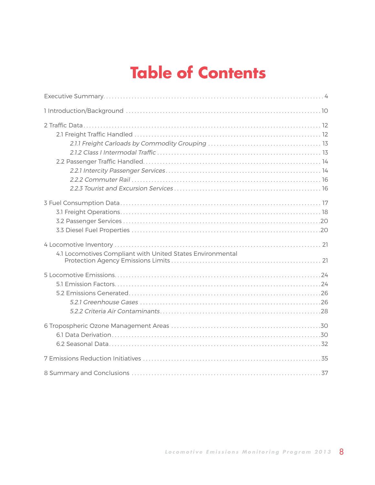# **Table of Contents**

| 4.1 Locomotives Compliant with United States Environmental |
|------------------------------------------------------------|
|                                                            |
|                                                            |
|                                                            |
|                                                            |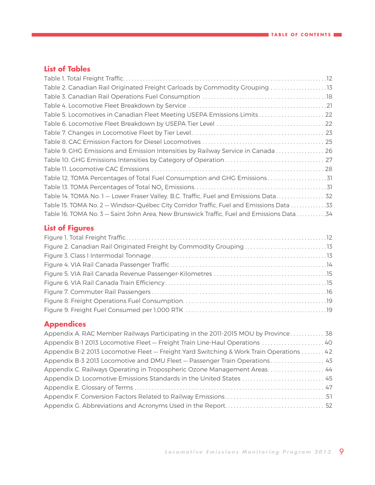### **List of Tables**

| Table 2. Canadian Rail Originated Freight Carloads by Commodity Grouping 13               |  |
|-------------------------------------------------------------------------------------------|--|
|                                                                                           |  |
|                                                                                           |  |
| Table 5. Locomotives in Canadian Fleet Meeting USEPA Emissions Limits 22                  |  |
|                                                                                           |  |
|                                                                                           |  |
|                                                                                           |  |
| Table 9. GHG Emissions and Emission Intensities by Railway Service in Canada  26          |  |
|                                                                                           |  |
|                                                                                           |  |
|                                                                                           |  |
|                                                                                           |  |
| Table 14. TOMA No. 1 - Lower Fraser Valley, B.C. Traffic, Fuel and Emissions Data 32      |  |
| Table 15. TOMA No. 2 - Windsor-Québec City Corridor Traffic, Fuel and Emissions Data 33   |  |
| Table 16. TOMA No. 3 - Saint John Area, New Brunswick Traffic, Fuel and Emissions Data 34 |  |

### **List of Figures**

| Figure 2. Canadian Rail Originated Freight by Commodity Grouping 13 |  |
|---------------------------------------------------------------------|--|
|                                                                     |  |
|                                                                     |  |
|                                                                     |  |
|                                                                     |  |
|                                                                     |  |
|                                                                     |  |
|                                                                     |  |

### **Appendices**

| Appendix A. RAC Member Railways Participating in the 2011-2015 MOU by Province 38       |  |
|-----------------------------------------------------------------------------------------|--|
| Appendix B-1 2013 Locomotive Fleet - Freight Train Line-Haul Operations  40             |  |
| Appendix B-2 2013 Locomotive Fleet - Freight Yard Switching & Work Train Operations  42 |  |
| Appendix B-3 2013 Locomotive and DMU Fleet - Passenger Train Operations 43              |  |
| Appendix C. Railways Operating in Tropospheric Ozone Management Areas 44                |  |
|                                                                                         |  |
|                                                                                         |  |
|                                                                                         |  |
|                                                                                         |  |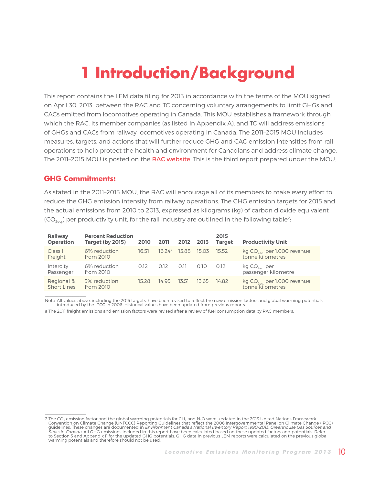# **1 Introduction/Background**

<span id="page-9-0"></span>This report contains the LEM data filing for 2013 in accordance with the terms of the MOU signed on April 30, 2013, between the RAC and TC concerning voluntary arrangements to limit GHGs and CACs emitted from locomotives operating in Canada. This MOU establishes a framework through which the RAC, its member companies (as listed in Appendix A), and TC will address emissions of GHGs and CACs from railway locomotives operating in Canada. The 2011–2015 MOU includes measures, targets, and actions that will further reduce GHG and CAC emission intensities from rail operations to help protect the health and environment for Canadians and address climate change. The 2011-2015 MOU is posted on the [RAC website](http://www.railcan.ca/assets/images/TC_RAC_MOU_2011-2015_EN.pdf). This is the third report prepared under the MOU.

### **GHG Commitments:**

 $\frac{1}{2}$  ,  $\frac{1}{2}$  ,  $\frac{1}{2}$  ,  $\frac{1}{2}$  ,  $\frac{1}{2}$  ,  $\frac{1}{2}$  ,  $\frac{1}{2}$  ,  $\frac{1}{2}$  ,  $\frac{1}{2}$ 

As stated in the 2011–2015 MOU, the RAC will encourage all of its members to make every effort to reduce the GHG emission intensity from railway operations. The GHG emission targets for 2015 and the actual emissions from 2010 to 2013, expressed as kilograms (kg) of carbon dioxide equivalent  $(CO<sub>2ea</sub>)$  per productivity unit, for the rail industry are outlined in the following table<sup>2</sup>:

| Railway<br><b>Operation</b>      | <b>Percent Reduction</b><br><b>Target (by 2015)</b> | 2010  | 2011   | 2012 2013 |       | 2015<br><b>Target</b> | <b>Productivity Unit</b>                                    |
|----------------------------------|-----------------------------------------------------|-------|--------|-----------|-------|-----------------------|-------------------------------------------------------------|
| Class I<br>Freight               | 6% reduction<br>from 2010                           | 16.51 | 16.24a | 15.88     | 15.03 | 15.52                 | kg CO <sub>2eq.</sub> per 1,000 revenue<br>tonne kilometres |
| Intercity<br>Passenger           | 6% reduction<br>from 2010                           | 0.12  | 0.12   | 0.11      | 0.10  | 0.12                  | kg CO <sub>2eq.</sub> per<br>passenger kilometre            |
| Regional &<br><b>Short Lines</b> | 3% reduction<br>from 2010                           | 15.28 | 14.95  | 13.51     | 13.65 | 14.82                 | $kg CO_{2eq}$ per 1,000 revenue<br>tonne kilometres         |
|                                  |                                                     |       |        |           |       |                       |                                                             |

Note All values above, including the 2015 targets, have been revised to reflect the new emission factors and global warming potentials introduced by the IPCC in 2006. Historical values have been updated from previous reports.

a The 2011 freight emissions and emission factors were revised after a review of fuel consumption data by RAC members.

<sup>2</sup> The CO<sub>2</sub> emission factor and the global warming potentials for CH<sub>4</sub> and N<sub>2</sub>O were updated in the 2013 United Nations Framework Convention on Climate Change (UNFCCC) Reporting Guidelines that reflect the 2006 Intergovernmental Panel on Climate Change (IPCC) guidelines. These changes are documented in *Environment Canada's National Inventory Report 1990-2013: Greenhouse Gas Sources and*<br>*Sinks in Canada.* All GHG emissions included in this report have been calculated based on to Section 5 and Appendix F for the updated GHG potentials. GHG data in previous LEM reports were calculated on the previous global warming potentials and therefore should not be used.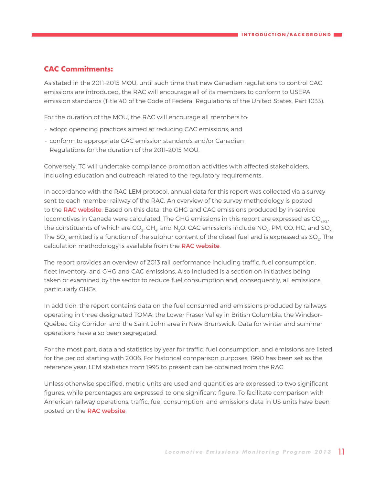### **CAC Commitments:**

As stated in the 2011-2015 MOU, until such time that new Canadian regulations to control CAC emissions are introduced, the RAC will encourage all of its members to conform to USEPA emission standards (Title 40 of the Code of Federal Regulations of the United States, Part 1033).

For the duration of the MOU, the RAC will encourage all members to:

- adopt operating practices aimed at reducing CAC emissions; and
- conform to appropriate CAC emission standards and/or Canadian Regulations for the duration of the 2011–2015 MOU.

Conversely, TC will undertake compliance promotion activities with affected stakeholders, including education and outreach related to the regulatory requirements.

In accordance with the RAC LEM protocol, annual data for this report was collected via a survey sent to each member railway of the RAC. An overview of the survey methodology is posted to the [RAC website](http://www.railcan.ca/assets/images/RT_Methodology_Overview_-_Public_ENG.pdf). Based on this data, the GHG and CAC emissions produced by in-service locomotives in Canada were calculated. The GHG emissions in this report are expressed as  $CO<sub>2ea</sub>$ , the constituents of which are CO<sub>2</sub>, CH<sub>4</sub>, and N<sub>2</sub>O. CAC emissions include NO<sub>y</sub>, PM, CO, HC, and SO<sub>y</sub>. The SO<sub>x</sub> emitted is a function of the sulphur content of the diesel fuel and is expressed as SO<sub>2</sub>. The calculation methodology is available from the [RAC website](http://www.railcan.ca/assets/images/RT_Methodology_Overview_-_Public_ENG.pdf).

The report provides an overview of 2013 rail performance including traffic, fuel consumption, fleet inventory, and GHG and CAC emissions. Also included is a section on initiatives being taken or examined by the sector to reduce fuel consumption and, consequently, all emissions, particularly GHGs.

In addition, the report contains data on the fuel consumed and emissions produced by railways operating in three designated TOMA: the Lower Fraser Valley in British Columbia, the Windsor– Québec City Corridor, and the Saint John area in New Brunswick. Data for winter and summer operations have also been segregated.

For the most part, data and statistics by year for traffic, fuel consumption, and emissions are listed for the period starting with 2006. For historical comparison purposes, 1990 has been set as the reference year. LEM statistics from 1995 to present can be obtained from the RAC.

Unless otherwise specified, metric units are used and quantities are expressed to two significant figures, while percentages are expressed to one significant figure. To facilitate comparison with American railway operations, traffic, fuel consumption, and emissions data in US units have been posted on the [RAC website](http://www.railcan.ca/assets/images/publications/LEM/LEM_2012/2012_LEM_Report_-_Tables_US.xls).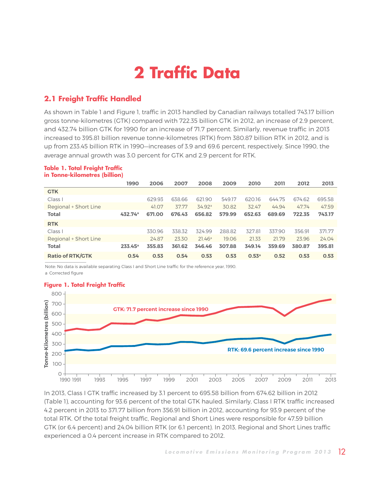# **2 Traffic Data**

### <span id="page-11-0"></span>**2.1 Freight Traffic Handled**

As shown in Table 1 and Figure 1, traffic in 2013 handled by Canadian railways totalled 743.17 billion gross tonne-kilometres (GTK) compared with 722.35 billion GTK in 2012, an increase of 2.9 percent, and 432.74 billion GTK for 1990 for an increase of 71.7 percent. Similarly, revenue traffic in 2013 increased to 395.81 billion revenue tonne-kilometres (RTK) from 380.87 billion RTK in 2012, and is up from 233.45 billion RTK in 1990—increases of 3.9 and 69.6 percent, respectively. Since 1990, the average annual growth was 3.0 percent for GTK and 2.9 percent for RTK.

### **Table 1. Total Freight Traffic in Tonne-kilometres (billion)**

|                         | 1990                | 2006   | 2007   | 2008               | 2009   | 2010              | 2011   | 2012   | 2013   |
|-------------------------|---------------------|--------|--------|--------------------|--------|-------------------|--------|--------|--------|
| <b>GTK</b>              |                     |        |        |                    |        |                   |        |        |        |
| Class I                 |                     | 629.93 | 638.66 | 621.90             | 549.17 | 620.16            | 644.75 | 674.62 | 695.58 |
| Regional + Short Line   |                     | 41.07  | 37.77  | 34.92 <sup>a</sup> | 30.82  | 32.47             | 44.94  | 47.74  | 47.59  |
| <b>Total</b>            | 432.74 <sup>a</sup> | 671.00 | 676.43 | 656.82             | 579.99 | 652.63            | 689.69 | 722.35 | 743.17 |
| <b>RTK</b>              |                     |        |        |                    |        |                   |        |        |        |
| Class I                 |                     | 330.96 | 338.32 | 324.99             | 288.82 | 327.81            | 337.90 | 356.91 | 371.77 |
| Regional + Short Line   |                     | 24.87  | 23.30  | 21.46 <sup>a</sup> | 19.06  | 21.33             | 21.79  | 23.96  | 24.04  |
| <b>Total</b>            | $233.45^a$          | 355.83 | 361.62 | 346.46             | 307.88 | 349.14            | 359.69 | 380.87 | 395.81 |
| <b>Ratio of RTK/GTK</b> | 0.54                | 0.53   | 0.54   | 0.53               | 0.53   | 0.53 <sup>a</sup> | 0.52   | 0.53   | 0.53   |

Note: No data is available separating Class I and Short Line traffic for the reference year, 1990. a Corrected figure

### **Figure 1. Total Freight Traffic**



In 2013, Class I GTK traffic increased by 3.1 percent to 695.58 billion from 674.62 billion in 2012 (Table 1), accounting for 93.6 percent of the total GTK hauled. Similarly, Class I RTK traffic increased 40 4.2 percent in 2013 to 371.77 billion from 356.91 billion in 2012, accounting for 93.9 percent of the total RTK. Of the total freight traffic, Regional and Short Lines were responsible for 47.59 billion 35 GTK (or 6.4 percent) and 24.04 billion RTK (or 6.1 percent). In 2013, Regional and Short Lines traffic 30 experienced a 0.4 percent increase in RTK compared to 2012. 25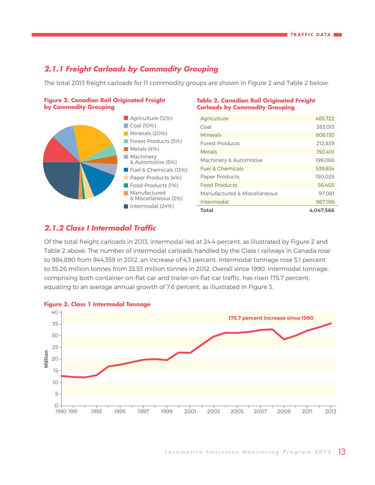### <span id="page-12-0"></span>**2.1.1 Freight Carloads by Commodity Grouping**

The total 2013 freight carloads for 11 commodity groups are shown in Figure 2 and Table 2 below.



### **Table 2. Canadian Rail Originated Freight Carloads by Commodity Grouping**

| Agriculture                  | 465.722   |
|------------------------------|-----------|
| Coal                         | 383.013   |
| Minerals                     | 806.193   |
| <b>Forest Products</b>       | 212.839   |
| Metals                       | 150.401   |
| Machinery & Automotive       | 199.068   |
| <b>Fuel &amp; Chemicals</b>  | 539.634   |
| <b>Paper Products</b>        | 150.025   |
| <b>Food Products</b>         | 56.405    |
| Manufactured & Miscellaneous | 97.081    |
| Intermodal                   | 987.186   |
| <b>Total</b>                 | 4.047.566 |

### **2.1.2 Class I Intermodal Traffic** 600 500

Of the total freight carloads in 2013, intermodal led at 24.4 percent, as illustrated by Figure 2 and Table 2 above. The number of intermodal carloads handled by the Class I railways in Canada rose to 984,890 from 944,359 in 2012, an increase of 4.3 percent. Intermodal tonnage rose 5.1 percent to 35.26 million tonnes from 33.53 million tonnes in 2012. Overall since 1990, intermodal tonnage, comprising both container-on-flat-car and trailer-on-flat-car traffic, has risen 175.7 percent, 100 equating to an average annual growth of 7.6 percent, as illustrated in Figure 3. 0  $2^{\circ}$  O T<sub>i</sub> to to ting to an average annual growth of 7.6 percent, as illustrated in Figure 3.



### **Figure 3. Class 1 Intermodal Tonnage**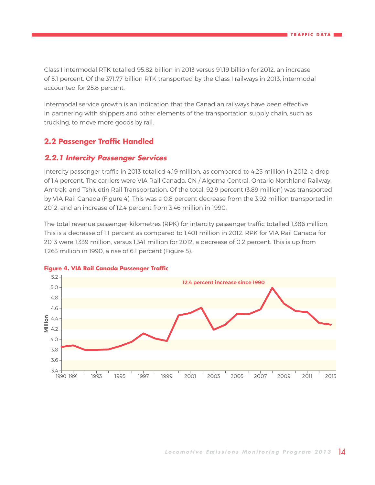<span id="page-13-0"></span>Class I intermodal RTK totalled 95.82 billion in 2013 versus 91.19 billion for 2012, an increase 600 of 5.1 percent. Of the 371.77 billion RTK transported by the Class I railways in 2013, intermodal accounted for 25.8 percent. Conde-Kilometer<br>
Indee-Kilometer<br> **Ton** 

Intermodal service growth is an indication that the Canadian railways have been effective in partnering with shippers and other elements of the transportation supply chain, such as trucking, to move more goods by rail. 0

### **2.2 Passenger Traffic Handled**

### **2.2.1 Intercity Passenger Services** 40

Intercity passenger traffic in 2013 totalled 4.19 million, as compared to 4.25 million in 2012, a drop of 1.4 percent. The carriers were VIA Rail Canada, CN / Algoma Central, Ontario Northland Railway, 30 Amtrak, and Tshiuetin Rail Transportation. Of the total, 92.9 percent (3.89 million) was transported by VIA Rail Canada (Figure 4). This was a 0.8 percent decrease from the 3.92 million transported in<br>2012, and an increase of 12.4 percent from 3.46 million in 1990. 2012, and an increase of 12.4 percent from 3.46 million in 1990.  $V<sub>1</sub>$ 

The total revenue passenger-kilometres (RPK) for intercity passenger traffic totalled 1,386 million. 10 This is a decrease of 1.1 percent as compared to 1,401 million in 2012. RPK for VIA Rail Canada for 5 2013 were 1,339 million, versus 1,341 million for 2012, a decrease of 0.2 percent. This is up from 1,263 million in 1990, a rise of 6.1 percent (Figure 5). 0  $\sigma$ 111111011 111 1990, a rise of 6.1 percent (Figure 5).



### **Figure 4. VIA Rail Canada Passenger Traffic**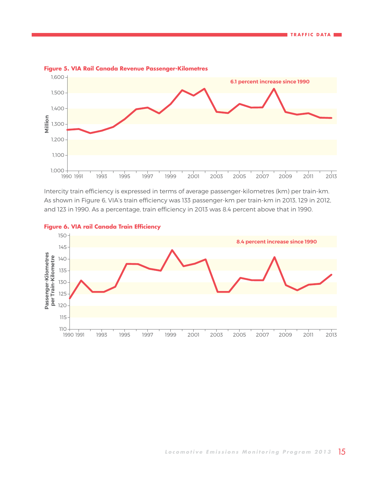

### <span id="page-14-0"></span>**Figure 5. VIA Rail Canada Revenue Passenger-Kilometres**

Intercity train efficiency is expressed in terms of average passenger-kilometres (km) per train-km. As shown in Figure 6, VIA's train efficiency was 133 passenger-km per train-km in 2013, 129 in 2012, 150 and 123 in 1990. As a percentage, train efficiency in 2013 was 8.4 percent above that in 1990.  $\overline{a}$  $10<sup>1</sup>$ 1990. As a percentage, train emclency in 2015 was 6.4 percent above that in 1990.



### **Figure 6. VIA rail Canada Train Efficiency** 140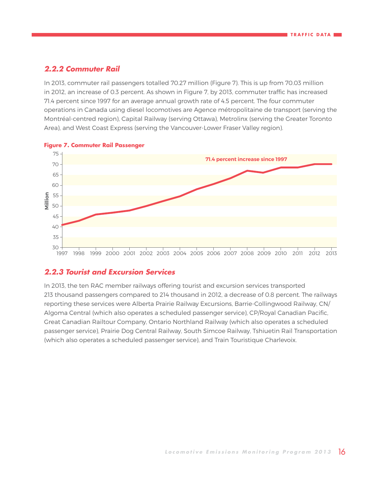### **2.2.2 Commuter Rail** 135

150<br>150

<span id="page-15-0"></span>In 2013, commuter rail passengers totalled 70.27 million (Figure 7). This is up from 70.03 million in 2012, an increase of 0.3 percent. As shown in Figure 7, by 2013, commuter traffic has increased 71.4 percent since 1997 for an average annual growth rate of 4.5 percent. The four commuter operations in Canada using diesel locomotives are Agence métropolitaine de transport (serving the Montréal-centred region), Capital Railway (serving Ottawa), Metrolinx (serving the Greater Toronto Area), and West Coast Express (serving the Vancouver-Lower Fraser Valley region). 110 **Passenger-Kilometres 2**<br>2<br>2<br>4 and west Coast Express (serving the Vancouver-Lower Fraser Valley region).



### **Figure 7. Commuter Rail Passenger**

### **2.2.3 Tourist and Excursion Services**

In 2013, the ten RAC member railways offering tourist and excursion services transported 213 thousand passengers compared to 214 thousand in 2012, a decrease of 0.8 percent. The railways reporting these services were Alberta Prairie Railway Excursions, Barrie-Collingwood Railway, CN/ Algoma Central (which also operates a scheduled passenger service), CP/Royal Canadian Pacific, Great Canadian Railtour Company, Ontario Northland Railway (which also operates a scheduled passenger service), Prairie Dog Central Railway, South Simcoe Railway, Tshiuetin Rail Transportation (which also operates a scheduled passenger service), and Train Touristique Charlevoix.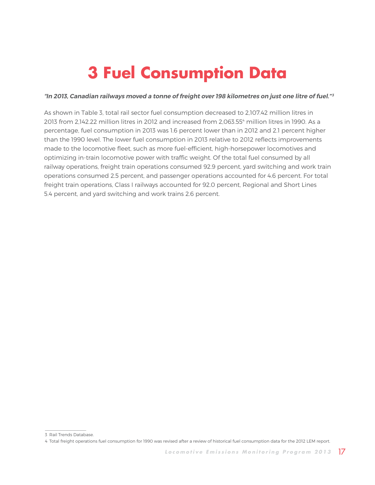# **3 Fuel Consumption Data**

### <span id="page-16-0"></span>**"In 2013, Canadian railways moved a tonne of freight over 198 kilometres on just one litre of fuel."<sup>3</sup>**

As shown in Table 3, total rail sector fuel consumption decreased to 2,107.42 million litres in 2013 from 2,142.22 million litres in 2012 and increased from 2,063.55<sup>4</sup> million litres in 1990. As a percentage, fuel consumption in 2013 was 1.6 percent lower than in 2012 and 2.1 percent higher than the 1990 level. The lower fuel consumption in 2013 relative to 2012 reflects improvements made to the locomotive fleet, such as more fuel-efficient, high-horsepower locomotives and optimizing in-train locomotive power with traffic weight. Of the total fuel consumed by all railway operations, freight train operations consumed 92.9 percent, yard switching and work train operations consumed 2.5 percent, and passenger operations accounted for 4.6 percent. For total freight train operations, Class I railways accounted for 92.0 percent, Regional and Short Lines 5.4 percent, and yard switching and work trains 2.6 percent.

 $\frac{1}{2}$  ,  $\frac{1}{2}$  ,  $\frac{1}{2}$  ,  $\frac{1}{2}$  ,  $\frac{1}{2}$  ,  $\frac{1}{2}$  ,  $\frac{1}{2}$  ,  $\frac{1}{2}$  ,  $\frac{1}{2}$  ,  $\frac{1}{2}$ 3 Rail Trends Database.

<sup>4</sup> Total freight operations fuel consumption for 1990 was revised after a review of historical fuel consumption data for the 2012 LEM report.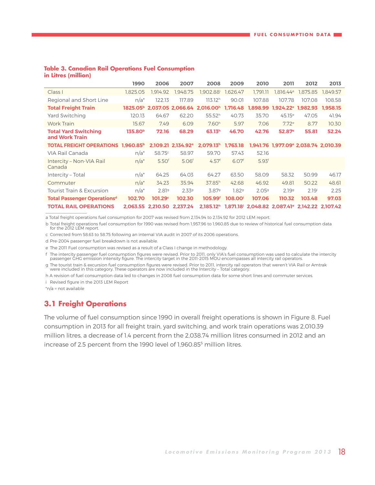#### <span id="page-17-0"></span>**Table 3. Canadian Rail Operations Fuel Consumption in Litres (million)**

|                                                      | 1990                | 2006                | 2007                           | 2008                                                         | 2009                | 2010              | 2011                                                                                         | 2012              | 2013     |
|------------------------------------------------------|---------------------|---------------------|--------------------------------|--------------------------------------------------------------|---------------------|-------------------|----------------------------------------------------------------------------------------------|-------------------|----------|
| Class I                                              | 1.825.05            | 1.914.92            | 1.948.75                       | 1.902.88 <sup>i</sup>                                        | 1,626.47            | 1.791.11          | 1,816.44e                                                                                    | 1,875.85          | 1.849.57 |
| Regional and Short Line                              | $n/a^*$             | 122.13              | 117.89                         | 113.12 <sup>h</sup>                                          | 90.01               | 107.88            | 107.78                                                                                       | 107.08            | 108.58   |
| <b>Total Freight Train</b>                           |                     |                     |                                | 1825.05 <sup>b</sup> 2.037.05 2.066.64 2.016.00 <sup>h</sup> | 1.716.48            |                   | 1.898.99 1.924.22 <sup>e</sup> 1.982.93                                                      |                   | 1.958.15 |
| Yard Switching                                       | 120.13              | 64.67               | 62.20                          | 55.52 <sup>h</sup>                                           | 40.73               | 35.70             | 45.15e                                                                                       | 47.05             | 41.94    |
| <b>Work Train</b>                                    | 15.67               | 7.49                | 6.09                           | 7.60 <sup>h</sup>                                            | 5.97                | 7.06              | 7.72e                                                                                        | 8.77              | 10.30    |
| <b>Total Yard Switching</b><br>and Work Train        | 135.80 <sup>b</sup> | 72.16               | 68.29                          | 63.13 <sup>h</sup>                                           | 46.70               | 42.76             | 52.87 <sup>e</sup>                                                                           | 55.81             | 52.24    |
| <b>TOTAL FREIGHT OPERATIONS 1.960.85<sup>b</sup></b> |                     |                     | 2.109.21 2.134.92 <sup>a</sup> | 2.079.13 <sup>h</sup>                                        | 1,763.18            |                   | 1.941.76 1.977.09 2.038.74 2.010.39                                                          |                   |          |
| VIA Rail Canada                                      | $n/a^*$             | 58.75 <sup>c</sup>  | 58.97                          | 59.70                                                        | 57.43               | 52.16             |                                                                                              |                   |          |
| Intercity - Non-VIA Rail<br>Canada                   | $n/a^*$             | 5.50 <sup>f</sup>   | 5.06 <sup>f</sup>              | 4.57 <sup>f</sup>                                            | 6.07 <sup>f</sup>   | 5.93 <sup>f</sup> |                                                                                              |                   |          |
| Intercity - Total                                    | $n/a^*$             | 64.25               | 64.03                          | 64.27                                                        | 63.50               | 58.09             | 58.32                                                                                        | 50.99             | 46.17    |
| Commuter                                             | $n/a^*$             | 34.23               | 35.94                          | 37.85 <sup>h</sup>                                           | 42.68               | 46.92             | 49.81                                                                                        | 50.22             | 48.61    |
| <b>Tourist Train &amp; Excursion</b>                 | $n/a^*$             | 2.819               | 2.339                          | 3.879                                                        | 1.829               | 2.059             | 2.199                                                                                        | 2.19 <sup>i</sup> | 2.25     |
| <b>Total Passenger Operationsd</b>                   | 102.70              | 101.29 <sup>c</sup> | 102.30                         | 105.99 <sup>f</sup>                                          | 108.00 <sup>i</sup> | 107.06            | 110.32                                                                                       | 103.48            | 97.03    |
| <b>TOTAL RAIL OPERATIONS</b>                         | 2.063.55            |                     | 2,210.50 2,237.24              |                                                              |                     |                   | 2,185.12 <sup>h</sup> 1,871.18 <sup>i</sup> 2,048.82 2,087.41 <sup>e</sup> 2,142.22 2,107.42 |                   |          |

a Total freight operations fuel consumption for 2007 was revised from 2,134.94 to 2,134.92 for 2012 LEM report.

b Total freight operations fuel consumption for 1990 was revised from 1,957.96 to 1,960.85 due to review of historical fuel consumption data for the 2012 LEM report.

c Corrected from 58.63 to 58.75 following an internal VIA audit in 2007 of its 2006 operations.

d Pre-2004 passenger fuel breakdown is not available.

e The 2011 Fuel consumption was revised as a result of a Class I change in methodology.

f The intercity passenger fuel consumption figures were revised. Prior to 2011, only VIA's fuel consumption was used to calculate the intercity passenger GHG emission intensity figure. The intercity target in the 2011-2015 MOU encompasses all intercity rail operators.

g The tourist train & excursion fuel consumption figures were revised. Prior to 2011, intercity rail operators that weren't VIA Rail or Amtrak were included in this category. These operators are now included in the Intercity – Total category.

h A revision of fuel consumption data led to changes in 2008 fuel consumption data for some short lines and commuter services.

i Revised figure in the 2013 LEM Report

\*n/a = not available

### **3.1 Freight Operations**

The volume of fuel consumption since 1990 in overall freight operations is shown in Figure 8. Fuel consumption in 2013 for all freight train, yard switching, and work train operations was 2,010.39 million litres, a decrease of 1.4 percent from the 2,038.74 million litres consumed in 2012 and an increase of 2.5 percent from the 1990 level of 1,960.85<sup>5</sup> million litres.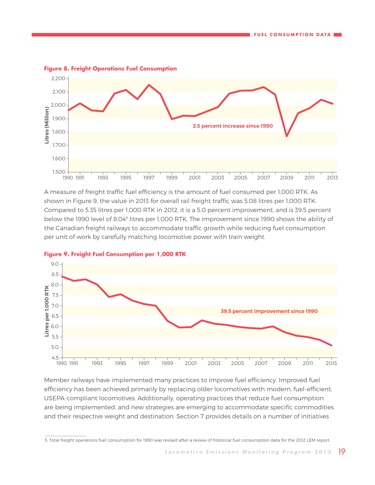

#### <span id="page-18-0"></span>**Figure 8. Freight Operations Fuel Consumption**

A measure of freight traffic fuel efficiency is the amount of fuel consumed per 1,000 RTK. As **2.5 percent increase since 1990** shown in Figure 9, the value in 2013 for overall rail freight traffic was 5.08 litres per 1,000 RTK. 9.0 Compared to 5.35 litres per 1,000 RTK in 2012, it is a 5.0 percent improvement, and is 39.5 percent below the 1990 level of 8.04<sup>6</sup> litres per 1,000 RTK. The improvement since 1990 shows the ability of the Canadian freight railways to accommodate traffic growth while reducing fuel consumption per unit of work by carefully matching locomotive power with train weight. th<br>pe<br>**Fi**g A<br>sh  $116d5$ work by carefully matering focomotive power with train weight.  $1990$  unit  $\sigma$ 





 $\frac{1}{2}$  ,  $\frac{1}{2}$  ,  $\frac{1}{2}$  ,  $\frac{1}{2}$  ,  $\frac{1}{2}$  ,  $\frac{1}{2}$  ,  $\frac{1}{2}$  ,  $\frac{1}{2}$  ,  $\frac{1}{2}$  ,  $\frac{1}{2}$ 

Member railways have implemented many practices to improve fuel efficiency. Improved fuel efficiency has been achieved primarily by replacing older locomotives with modern, fuel-efficient, USEPA-compliant locomotives. Additionally, operating practices that reduce fuel consumption are being implemented, and new strategies are emerging to accommodate specific commodities and their respective weight and destination. Section 7 provides details on a number of initiatives

<sup>5</sup> Total freight operations fuel consumption for 1990 was revised after a review of historical fuel consumption data for the 2012 LEM report.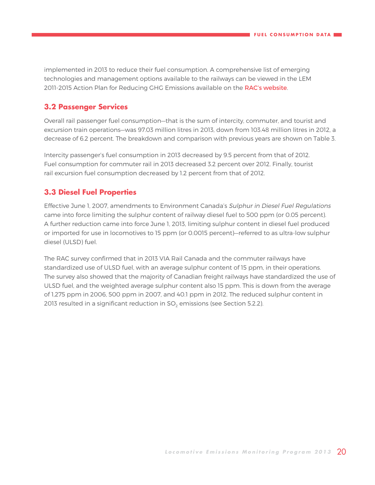<span id="page-19-0"></span>implemented in 2013 to reduce their fuel consumption. A comprehensive list of emerging technologies and management options available to the railways can be viewed in the LEM 2011-2015 Action Plan for Reducing GHG Emissions available on the [RAC's website](http://www.railcan.ca/publications/emissions).

### **3.2 Passenger Services**

Overall rail passenger fuel consumption—that is the sum of intercity, commuter, and tourist and excursion train operations—was 97.03 million litres in 2013, down from 103.48 million litres in 2012, a decrease of 6.2 percent. The breakdown and comparison with previous years are shown on Table 3.

Intercity passenger's fuel consumption in 2013 decreased by 9.5 percent from that of 2012. Fuel consumption for commuter rail in 2013 decreased 3.2 percent over 2012. Finally, tourist rail excursion fuel consumption decreased by 1.2 percent from that of 2012.

### **3.3 Diesel Fuel Properties**

Effective June 1, 2007, amendments to Environment Canada's Sulphur in Diesel Fuel Regulations came into force limiting the sulphur content of railway diesel fuel to 500 ppm (or 0.05 percent). A further reduction came into force June 1, 2013, limiting sulphur content in diesel fuel produced or imported for use in locomotives to 15 ppm (or 0.0015 percent)—referred to as ultra-low sulphur diesel (ULSD) fuel.

The RAC survey confirmed that in 2013 VIA Rail Canada and the commuter railways have standardized use of ULSD fuel, with an average sulphur content of 15 ppm, in their operations. The survey also showed that the majority of Canadian freight railways have standardized the use of ULSD fuel, and the weighted average sulphur content also 15 ppm. This is down from the average of 1,275 ppm in 2006, 500 ppm in 2007, and 40.1 ppm in 2012. The reduced sulphur content in 2013 resulted in a significant reduction in SO<sub>2</sub> emissions (see Section 5.2.2).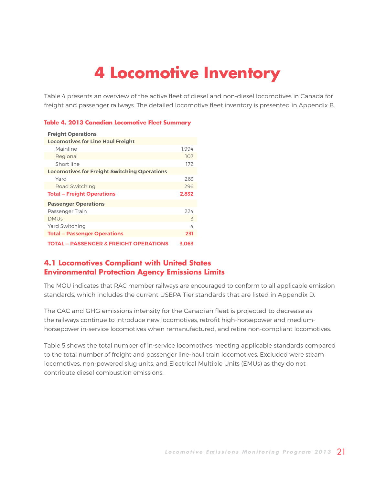# **4 Locomotive Inventory**

<span id="page-20-0"></span>Table 4 presents an overview of the active fleet of diesel and non-diesel locomotives in Canada for freight and passenger railways. The detailed locomotive fleet inventory is presented in Appendix B.

### **Table 4. 2013 Canadian Locomotive Fleet Summary**

| <b>Freight Operations</b>                           |       |
|-----------------------------------------------------|-------|
| <b>Locomotives for Line Haul Freight</b>            |       |
| Mainline                                            | 1.994 |
| Regional                                            | 107   |
| Short line                                          | 172   |
| <b>Locomotives for Freight Switching Operations</b> |       |
| Yard                                                | 263   |
| Road Switching                                      | 296   |
| <b>Total – Freight Operations</b>                   | 2.832 |
| <b>Passenger Operations</b>                         |       |
| Passenger Train                                     | 224   |
| <b>DMUs</b>                                         | 3     |
| <b>Yard Switching</b>                               | 4     |
| <b>Total - Passenger Operations</b>                 | 231   |
| <b>TOTAL - PASSENGER &amp; FREIGHT OPERATIONS</b>   | 3.063 |

### **4.1 Locomotives Compliant with United States Environmental Protection Agency Emissions Limits**

The MOU indicates that RAC member railways are encouraged to conform to all applicable emission standards, which includes the current USEPA Tier standards that are listed in Appendix D.

The CAC and GHG emissions intensity for the Canadian fleet is projected to decrease as the railways continue to introduce new locomotives, retrofit high-horsepower and mediumhorsepower in-service locomotives when remanufactured, and retire non-compliant locomotives.

Table 5 shows the total number of in-service locomotives meeting applicable standards compared to the total number of freight and passenger line-haul train locomotives. Excluded were steam locomotives, non-powered slug units, and Electrical Multiple Units (EMUs) as they do not contribute diesel combustion emissions.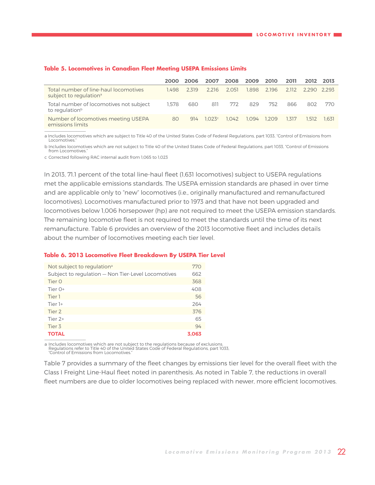|                                                                             | 2000  | 2006  | 2007  | 2008  | 2009  | 2010  | 2011  | 2012        | -2013 |
|-----------------------------------------------------------------------------|-------|-------|-------|-------|-------|-------|-------|-------------|-------|
| Total number of line-haul locomotives<br>subject to regulation <sup>a</sup> | 1.498 | 2.319 | 2.216 | 2.051 | 1.898 | 2.196 | 2.112 | 2.290 2.293 |       |
| Total number of locomotives not subject<br>to regulation <sup>b</sup>       | 1.578 | 680   | 811   | 772   | 829   | 752   | 866   | 802         | 770   |
| Number of locomotives meeting USEPA<br>emissions limits                     | 80    | 914   | 1023c | 1.042 | 1.094 | 1209  | 1.317 | 1.512       | 1.631 |
|                                                                             |       |       |       |       |       |       |       |             |       |

### <span id="page-21-0"></span>**Table 5. Locomotives in Canadian Fleet Meeting USEPA Emissions Limits**

a Includes locomotives which are subject to Title 40 of the United States Code of Federal Regulations, part 1033, "Control of Emissions from Locomotives."

b Includes locomotives which are not subject to Title 40 of the United States Code of Federal Regulations, part 1033, "Control of Emissions from Locomotives<sup>\*</sup>

c Corrected following RAC internal audit from 1,065 to 1,023

In 2013, 71.1 percent of the total line-haul fleet (1,631 locomotives) subject to USEPA regulations met the applicable emissions standards. The USEPA emission standards are phased in over time and are applicable only to "new" locomotives (i.e., originally manufactured and remanufactured locomotives). Locomotives manufactured prior to 1973 and that have not been upgraded and locomotives below 1,006 horsepower (hp) are not required to meet the USEPA emission standards. The remaining locomotive fleet is not required to meet the standards until the time of its next remanufacture. Table 6 provides an overview of the 2013 locomotive fleet and includes details about the number of locomotives meeting each tier level.

#### **Table 6. 2013 Locomotive Fleet Breakdown By USEPA Tier Level**

| Not subject to regulation <sup>a</sup>             | 770   |
|----------------------------------------------------|-------|
| Subject to regulation - Non Tier-Level Locomotives | 662   |
| Tier 0                                             | 368   |
| Tier $O+$                                          | 408   |
| Tier 1                                             | 56    |
| Tier 1+                                            | 264   |
| Tier 2                                             | 376   |
| Tier $2+$                                          | 65    |
| Tier <sub>3</sub>                                  | 94    |
| <b>TOTAL</b>                                       | 3.063 |

a Includes locomotives which are not subject to the regulations because of exclusions. Regulations refer to Title 40 of the United States Code of Federal Regulations, part 1033, "Control of Emissions from Locomotives."

Table 7 provides a summary of the fleet changes by emissions tier level for the overall fleet with the Class I Freight Line-Haul fleet noted in parenthesis. As noted in Table 7, the reductions in overall fleet numbers are due to older locomotives being replaced with newer, more efficient locomotives.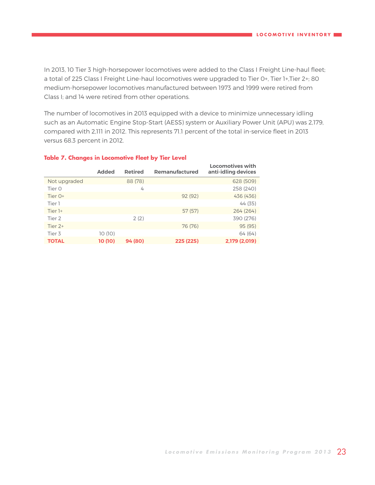<span id="page-22-0"></span>In 2013, 10 Tier 3 high-horsepower locomotives were added to the Class I Freight Line-haul fleet; a total of 225 Class I Freight Line-haul locomotives were upgraded to Tier 0+, Tier 1+,Tier 2+; 80 medium-horsepower locomotives manufactured between 1973 and 1999 were retired from Class I; and 14 were retired from other operations.

The number of locomotives in 2013 equipped with a device to minimize unnecessary idling such as an Automatic Engine Stop-Start (AESS) system or Auxiliary Power Unit (APU) was 2,179, compared with 2,111 in 2012. This represents 71.1 percent of the total in-service fleet in 2013 versus 68.3 percent in 2012.

|              | <b>Added</b> | <b>Retired</b> | Remanufactured | <b>Locomotives with</b><br>anti-idling devices |
|--------------|--------------|----------------|----------------|------------------------------------------------|
| Not upgraded |              | 88 (78)        |                | 628 (509)                                      |
| Tier O       |              | 4              |                | 258 (240)                                      |
| Tier 0+      |              |                | 92(92)         | 436 (436)                                      |
| Tier 1       |              |                |                | 44 (35)                                        |
| Tier $1+$    |              |                | 57(57)         | 264(264)                                       |
| Tier 2       |              | 2(2)           |                | 390 (276)                                      |
| Tier $2+$    |              |                | 76 (76)        | 95(95)                                         |
| Tier 3       | 10(10)       |                |                | 64 (64)                                        |
| <b>TOTAL</b> | 10 (10)      | 94 (80)        | 225 (225)      | 2,179 (2,019)                                  |

### **Table 7. Changes in Locomotive Fleet by Tier Level**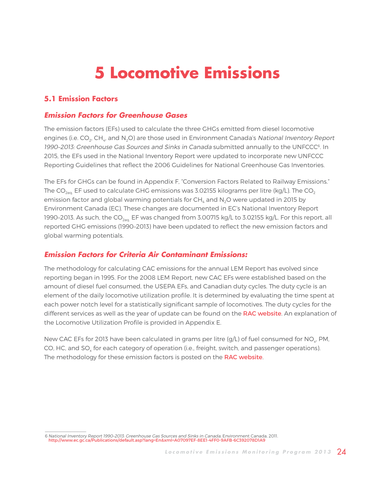# **5 Locomotive Emissions**

### <span id="page-23-0"></span>**5.1 Emission Factors**

### **Emission Factors for Greenhouse Gases**

The emission factors (EFs) used to calculate the three GHGs emitted from diesel locomotive engines (i.e.  $CO<sub>2</sub>$ , CH<sub>4</sub>, and N<sub>2</sub>O) are those used in Environment Canada's National Inventory Report 1990-2013: Greenhouse Gas Sources and Sinks in Canada submitted annually to the UNFCCC<sup>6</sup>. In 2015, the EFs used in the National Inventory Report were updated to incorporate new UNFCCC Reporting Guidelines that reflect the 2006 Guidelines for National Greenhouse Gas Inventories.

The EFs for GHGs can be found in Appendix F, "Conversion Factors Related to Railway Emissions." The  $CO_{2eq}$  EF used to calculate GHG emissions was 3.02155 kilograms per litre (kg/L). The CO<sub>2</sub> emission factor and global warming potentials for  $CH<sub>4</sub>$  and N<sub>2</sub>O were updated in 2015 by Environment Canada (EC). These changes are documented in EC's National Inventory Report 1990-2013. As such, the  $CO_{2eq.}$  EF was changed from 3.00715 kg/L to 3.02155 kg/L. For this report, all reported GHG emissions (1990–2013) have been updated to reflect the new emission factors and global warming potentials.

### **Emission Factors for Criteria Air Contaminant Emissions:**

The methodology for calculating CAC emissions for the annual LEM Report has evolved since reporting began in 1995. For the 2008 LEM Report, new CAC EFs were established based on the amount of diesel fuel consumed, the USEPA EFs, and Canadian duty cycles. The duty cycle is an element of the daily locomotive utilization profile. It is determined by evaluating the time spent at each power notch level for a statistically significant sample of locomotives. The duty cycles for the different services as well as the year of update can be found on the [RAC website](http://www.railcan.ca/assets/images/LEM_Calculations_Explained_-_Public_ENG.pdf). An explanation of the Locomotive Utilization Profile is provided in Appendix E.

New CAC EFs for 2013 have been calculated in grams per litre  $(g/L)$  of fuel consumed for NO<sub>y</sub>, PM, CO, HC, and SO, for each category of operation (i.e., freight, switch, and passenger operations). The methodology for these emission factors is posted on the [RAC website](http://www.railcan.ca/assets/images/LEM_Calculations_Explained_-_Public_ENG.pdf).

<sup>6</sup> National Inventory Report 1990–2013: Greenhouse Gas Sources and Sinks in Canada, Environment Canada, 2011. [http://www.ec.gc.ca/Publications/default.asp?lang=En&xml=A07097EF-8EE1-4FF0-9AFB-6C392078D1A9](http://www.ec.gc.ca/Publications/default.asp%3Flang%3DEn%26xml%3DA07097EF-8EE1-4FF0-9AFB-6C392078D1A9)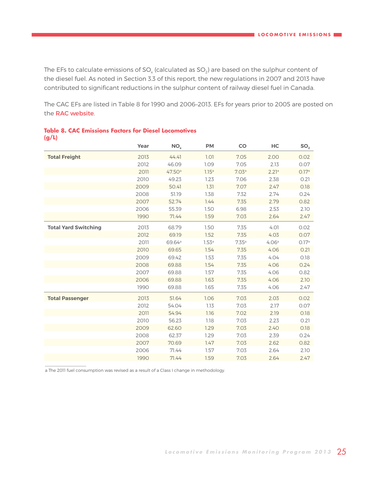<span id="page-24-0"></span>The EFs to calculate emissions of  $SO_x$  (calculated as  $SO_2$ ) are based on the sulphur content of the diesel fuel. As noted in Section 3.3 of this report, the new regulations in 2007 and 2013 have contributed to significant reductions in the sulphur content of railway diesel fuel in Canada.

The CAC EFs are listed in Table 8 for 1990 and 2006–2013. EFs for years prior to 2005 are posted on the [RAC website](http://www.railcan.ca/assets/images/publications/LEM/LEM_2012/2012_LEM_Report_-_Tables_Public.xls).

|                             | Year | NO <sub>x</sub> | <b>PM</b>         | <b>CO</b> | HC    | SO <sub>2</sub> |
|-----------------------------|------|-----------------|-------------------|-----------|-------|-----------------|
| <b>Total Freight</b>        | 2013 | 44.41           | 1.01              | 7.05      | 2.00  | 0.02            |
|                             | 2012 | 46.09           | 1.09              | 7.05      | 2.13  | 0.07            |
|                             | 2011 | 47.50a          | 1.15 <sup>a</sup> | 7.03a     | 2.21a | O.17a           |
|                             | 2010 | 49.23           | 1.23              | 7.06      | 2.38  | 0.21            |
|                             | 2009 | 50.41           | 1.31              | 7.07      | 2.47  | 0.18            |
|                             | 2008 | 51.19           | 1.38              | 7.32      | 2.74  | 0.24            |
|                             | 2007 | 52.74           | 7.44              | 7.35      | 2.79  | 0.82            |
|                             | 2006 | 55.39           | 1.50              | 6.98      | 2.53  | 2.10            |
|                             | 1990 | 71.44           | 1.59              | 7.03      | 2.64  | 2.47            |
| <b>Total Yard Switching</b> | 2013 | 68.79           | 1.50              | 7.35      | 4.01  | 0.02            |
|                             | 2012 | 69.19           | 1.52              | 7.35      | 4.03  | 0.07            |
|                             | 2011 | 69.64ª          | 1.53 <sup>a</sup> | 7.35a     | 4.06a | 0.17a           |
|                             | 2010 | 69.65           | 1.54              | 7.35      | 4.06  | 0.21            |
|                             | 2009 | 69.42           | 1.53              | 7.35      | 4.04  | 0.18            |
|                             | 2008 | 69.88           | 1.54              | 7.35      | 4.06  | 0.24            |
|                             | 2007 | 69.88           | 1.57              | 7.35      | 4.06  | 0.82            |
|                             | 2006 | 69.88           | 1.63              | 7.35      | 4.06  | 2.10            |
|                             | 1990 | 69.88           | 1.65              | 7.35      | 4.06  | 2.47            |
| <b>Total Passenger</b>      | 2013 | 51.64           | 1.06              | 7.03      | 2.03  | 0.02            |
|                             | 2012 | 54.04           | 1.13              | 7.03      | 2.17  | 0.07            |
|                             | 2011 | 54.94           | 1.16              | 7.02      | 2.19  | 0.18            |
|                             | 2010 | 56.23           | 1.18              | 7.03      | 2.23  | 0.21            |
|                             | 2009 | 62.60           | 1.29              | 7.03      | 2.40  | 0.18            |
|                             | 2008 | 62.37           | 1.29              | 7.03      | 2.39  | 0.24            |
|                             | 2007 | 70.69           | 1.47              | 7.03      | 2.62  | 0.82            |
|                             | 2006 | 71.44           | 1.57              | 7.03      | 2.64  | 2.10            |
|                             | 1990 | 71.44           | 1.59              | 7.03      | 2.64  | 2.47            |

### **Table 8. CAC Emissions Factors for Diesel Locomotives (g/L)**

a The 2011 fuel consumption was revised as a result of a Class I change in methodology.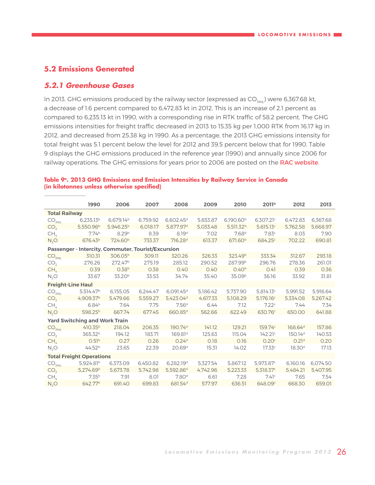### <span id="page-25-0"></span>**5.2 Emissions Generated**

### **5.2.1 Greenhouse Gases**

In 2013, GHG emissions produced by the railway sector (expressed as  $CO<sub>2eG</sub>$ ) were 6,367.68 kt, a decrease of 1.6 percent compared to 6,472.83 kt in 2012. This is an increase of 2.1 percent as compared to 6,235.13 kt in 1990, with a corresponding rise in RTK traffic of 58.2 percent. The GHG emissions intensities for freight traffic decreased in 2013 to 15.35 kg per 1,000 RTK from 16.17 kg in 2012, and decreased from 25.38 kg in 1990. As a percentage, the 2013 GHG emissions intensity for total freight was 5.1 percent below the level for 2012 and 39.5 percent below that for 1990. Table 9 displays the GHG emissions produced in the reference year (1990) and annually since 2006 for railway operations. The GHG emissions for years prior to 2006 are posted on the [RAC website](http://www.railcan.ca/assets/images/publications/LEM/LEM_2012/2012_LEM_Report_-_Tables_Public.xls).

|                          | 1990                                               | 2006                  | 2007     | 2008                    | 2009     | 2010                  | 2011 <sup>b</sup>     | 2012                | 2013     |
|--------------------------|----------------------------------------------------|-----------------------|----------|-------------------------|----------|-----------------------|-----------------------|---------------------|----------|
| <b>Total Railway</b>     |                                                    |                       |          |                         |          |                       |                       |                     |          |
| CO <sub>2ea</sub>        | $6.235.13^{b}$                                     | 6.679.14 <sup>b</sup> | 6.759.92 | $6.602.45$ <sup>d</sup> | 5.653.87 | 6,190.60 <sup>b</sup> | 6.307.21c             | 6.472.83            | 6.367.68 |
| CO <sub>2</sub>          | 5,550.96 <sup>b</sup>                              | 5.946.25 <sup>b</sup> | 6.018.17 | 5.877.97 <sup>d</sup>   | 5.033.48 | 5.511.32 <sup>b</sup> | 5.615.13c             | 5.762.58            | 5.668.97 |
| CH <sub>4</sub>          | 7.74 <sup>b</sup>                                  | 8.29 <sup>b</sup>     | 8.39     | 8.19 <sup>d</sup>       | 7.02     | 7.68 <sup>b</sup>     | 7.83c                 | 8.03                | 7.90     |
| $N_2O$                   | 676.43 <sup>b</sup>                                | 724.60 <sup>b</sup>   | 733.37   | 716.28 <sup>d</sup>     | 613.37   | 671.60 <sup>b</sup>   | 684.25°               | 702.22              | 690.81   |
|                          | Passenger - Intercity, Commuter, Tourist/Excursion |                       |          |                         |          |                       |                       |                     |          |
| CO <sub>2eq</sub>        | 310.31                                             | 306.05 <sup>b</sup>   | 309.11   | 320.26                  | 326.33   | 323.49 <sup>b</sup>   | 333.34                | 312.67              | 293.18   |
| CO <sub>2</sub>          | 276.26                                             | 272.47 <sup>b</sup>   | 275.19   | 285.12                  | 290.52   | 287.99 <sup>b</sup>   | 296.76                | 278.36              | 261.01   |
| CH <sub>4</sub>          | 0.39                                               | 0.38 <sup>b</sup>     | 0.38     | 0.40                    | 0.40     | 0.40 <sup>b</sup>     | 0.41                  | 0.39                | 0.36     |
| $N_2O$                   | 33.67                                              | 33.20 <sup>b</sup>    | 33.53    | 34.74                   | 35.40    | 35.09 <sup>b</sup>    | 36.16                 | 33.92               | 31.81    |
| <b>Freight-Line Haul</b> |                                                    |                       |          |                         |          |                       |                       |                     |          |
| CO <sub>2eq</sub>        | 5.514.47 <sup>b</sup>                              | 6,155.05              | 6,244.47 | $6,091.45$ <sup>d</sup> | 5,186.42 | 5,737.90              | 5,814.13c             | 5,991.52            | 5,916.64 |
| CO <sub>2</sub>          | 4.909.37 <sup>b</sup>                              | 5,479.66              | 5,559.27 | 5,423.04 <sup>d</sup>   | 4.617.33 | 5.108.29              | 5.176.16c             | 5.334.08            | 5.267.42 |
| CH <sub>4</sub>          | 6.84 <sup>b</sup>                                  | 7.64                  | 7.75     | 7.56 <sup>d</sup>       | 6.44     | 7.12                  | 7.22c                 | 7.44                | 7.34     |
| $N_2O$                   | 598.25 <sup>b</sup>                                | 667.74                | 677.45   | 660.85 <sup>d</sup>     | 562.66   | 622.49                | 630.76°               | 650.00              | 641.88   |
|                          | <b>Yard Switching and Work Train</b>               |                       |          |                         |          |                       |                       |                     |          |
| CO <sub>2eq</sub>        | $410.35^{b}$                                       | 218.04                | 206.35   | 190.74 <sup>d</sup>     | 141.12   | 129.21                | 159.74c               | 168.64 <sup>d</sup> | 157.86   |
| CO <sub>2</sub>          | 365.32 <sup>b</sup>                                | 194.12                | 183.71   | 169.81 <sup>d</sup>     | 125.63   | 115.04                | 142.21 <sup>c</sup>   | 150.14 <sup>d</sup> | 140.53   |
| CH <sub>4</sub>          | 0.51 <sup>b</sup>                                  | 0.27                  | 0.26     | 0.24 <sup>d</sup>       | 0.18     | 0.16                  | 0.20c                 | 0.21 <sup>d</sup>   | 0.20     |
| $N_2O$                   | 44.52 <sup>b</sup>                                 | 23.65                 | 22.39    | 20.69 <sup>d</sup>      | 15.31    | 14.02                 | 17.33c                | 18.30 <sup>d</sup>  | 17.13    |
|                          | <b>Total Freight Operations</b>                    |                       |          |                         |          |                       |                       |                     |          |
| CO <sub>2eq</sub>        | 5.924.81 <sup>b</sup>                              | 6,373.09              | 6,450.82 | 6,282.19 <sup>d</sup>   | 5.327.54 | 5,867.12              | 5,973.87c             | 6,160.16            | 6.074.50 |
| CO <sub>2</sub>          | 5.274.69 <sup>b</sup>                              | 5.673.78              | 5.742.98 | 5.592.86 <sup>d</sup>   | 4.742.96 | 5.223.33              | 5.318.37 <sup>c</sup> | 5.484.21            | 5.407.95 |
| CH <sub>4</sub>          | 7.35 <sup>b</sup>                                  | 7.91                  | 8.01     | 7.80 <sup>d</sup>       | 6.61     | 7.28                  | 7.41c                 | 7.65                | 7.54     |
| N <sub>2</sub> O         | 642.77 <sup>b</sup>                                | 691.40                | 699.83   | 681.54 <sup>d</sup>     | 577.97   | 636.51                | 648.09°               | 668.30              | 659.01   |

### **Table 9a. 2013 GHG Emissions and Emission Intensities by Railway Service in Canada (in kilotonnes unless otherwise specified)**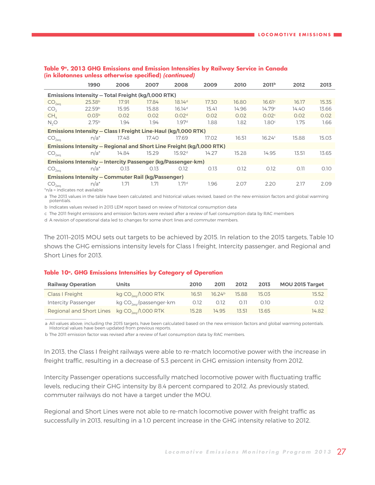|                                                                | 1990                                                                        | 2006  | 2007  | 2008               | 2009  | 2010  | 2011 <sup>b</sup> | 2012  | 2013  |  |
|----------------------------------------------------------------|-----------------------------------------------------------------------------|-------|-------|--------------------|-------|-------|-------------------|-------|-------|--|
|                                                                | Emissions Intensity - Total Freight (kg/1,000 RTK)                          |       |       |                    |       |       |                   |       |       |  |
| CO <sub>2eq</sub>                                              | 25.38 <sup>b</sup>                                                          | 17.91 | 17.84 | 18.14 <sup>d</sup> | 17.30 | 16.80 | 16.61c            | 16.17 | 15.35 |  |
| CO <sub>2</sub>                                                | 22.59 <sup>b</sup>                                                          | 15.95 | 15.88 | 16.14 <sup>d</sup> | 15.41 | 14.96 | 14.79c            | 14.40 | 13.66 |  |
| CH <sub>c</sub>                                                | 0.03 <sup>b</sup>                                                           | 0.02  | 0.02  | 0.02 <sup>d</sup>  | 0.02  | 0.02  | 0.02 <sup>c</sup> | 0.02  | 0.02  |  |
| N <sub>2</sub> O                                               | 2.75 <sup>b</sup>                                                           | 1.94  | 1.94  | 1.97 <sup>d</sup>  | 1.88  | 1.82  | 1.80c             | 1.75  | 1.66  |  |
| Emissions Intensity - Class I Freight Line-Haul (kg/l,000 RTK) |                                                                             |       |       |                    |       |       |                   |       |       |  |
| CO <sub>2ea</sub>                                              | $n/a^*$                                                                     | 17.48 | 17.40 | 17.69              | 17.02 | 16.51 | 16.24c            | 15.88 | 15.03 |  |
|                                                                | <b>Emissions Intensity - Regional and Short Line Freight (kg/1,000 RTK)</b> |       |       |                    |       |       |                   |       |       |  |
| CO <sub>2ea</sub>                                              | $n/a^*$                                                                     | 14.84 | 15.29 | 15.92 <sup>d</sup> | 14.27 | 15.28 | 14.95             | 13.51 | 13.65 |  |
|                                                                | <b>Emissions Intensity – Intercity Passenger (kg/Passenger-km)</b>          |       |       |                    |       |       |                   |       |       |  |
| CO <sub>2ea</sub>                                              | $n/a^*$                                                                     | 0.13  | 0.13  | 0.12               | 0.13  | 0.12  | 0.12              | O.11  | 0.10  |  |
|                                                                | <b>Emissions Intensity - Commuter Rail (kg/Passenger)</b>                   |       |       |                    |       |       |                   |       |       |  |
| CO <sub>2eq</sub><br>$*n/n = indicate not available$           | $n/a^*$                                                                     | 1.71  | 1.71  | 1.71 <sup>d</sup>  | 1.96  | 2.07  | 2.20              | 2.17  | 2.09  |  |

### <span id="page-26-0"></span>**Table 9a. 2013 GHG Emissions and Emission Intensities by Railway Service in Canada (in kilotonnes unless otherwise specified) (continued)**

 $^{\ast}$ n/a = indicates not availabl $^{\ast}$ 

 $\frac{1}{2}$  ,  $\frac{1}{2}$  ,  $\frac{1}{2}$  ,  $\frac{1}{2}$  ,  $\frac{1}{2}$  ,  $\frac{1}{2}$  ,  $\frac{1}{2}$  ,  $\frac{1}{2}$  ,  $\frac{1}{2}$  ,  $\frac{1}{2}$ 

a The 2013 values in the table have been calculated, and historical values revised, based on the new emission factors and global warming potentials.

b Indicates values revised in 2013 LEM report based on review of historical consumption data

c The 2011 freight emissions and emission factors were revised after a review of fuel consumption data by RAC members

d A revision of operational data led to changes for some short lines and commuter members.

The 2011–2015 MOU sets out targets to be achieved by 2015. In relation to the 2015 targets, Table 10 shows the GHG emissions intensity levels for Class I freight, Intercity passenger, and Regional and Short Lines for 2013.

### **Table 10<sup>a</sup>. GHG Emissions Intensities by Category of Operation**

| <b>Railway Operation</b>                           | <b>Units</b>                       | 2010  | 2011          | 2012  | 2013  | <b>MOU 2015 Target</b> |
|----------------------------------------------------|------------------------------------|-------|---------------|-------|-------|------------------------|
| Class I Freight                                    | kg CO <sub>2eq</sub> /1,000 RTK    | 16.51 | $16.24^{b}$   | 15.88 | 15.03 | 15.52                  |
| <b>Intercity Passenger</b>                         | kg $CO_{2\text{eq}}$ /passenger-km |       | $0.12$ $0.12$ | 0.11  | -0.10 | 0.12                   |
| Regional and Short Lines $kg CO_{2eq} / 1,000$ RTK |                                    | 15.28 | 14.95         | 13.51 | 13.65 | 14.82                  |

a All values above, including the 2015 targets, have been calculated based on the new emission factors and global warming potentials. Historical values have been updated from previous reports.

b The 2011 emission factor was revised after a review of fuel consumption data by RAC members.

In 2013, the Class I freight railways were able to re-match locomotive power with the increase in freight traffic, resulting in a decrease of 5.3 percent in GHG emission intensity from 2012.

Intercity Passenger operations successfully matched locomotive power with fluctuating traffic levels, reducing their GHG intensity by 8.4 percent compared to 2012. As previously stated, commuter railways do not have a target under the MOU.

Regional and Short Lines were not able to re-match locomotive power with freight traffic as successfully in 2013, resulting in a 1.0 percent increase in the GHG intensity relative to 2012.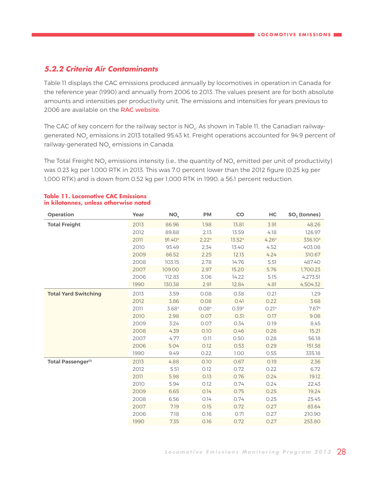### <span id="page-27-0"></span>**5.2.2 Criteria Air Contaminants**

Table 11 displays the CAC emissions produced annually by locomotives in operation in Canada for the reference year (1990) and annually from 2006 to 2013. The values present are for both absolute amounts and intensities per productivity unit. The emissions and intensities for years previous to 2006 are available on the [RAC website](http://www.railcan.ca/assets/images/publications/LEM/LEM_2012/2012_LEM_Report_-_Tables_Public.xls).

The CAC of key concern for the railway sector is NO<sub>y</sub>. As shown in Table 11, the Canadian railwaygenerated NO<sub>v</sub> emissions in 2013 totalled 95.43 kt. Freight operations accounted for 94.9 percent of railway-generated  $NO<sub>x</sub>$  emissions in Canada.

The Total Freight NO<sub>y</sub> emissions intensity (i.e., the quantity of NO<sub>y</sub> emitted per unit of productivity) was 0.23 kg per 1,000 RTK in 2013. This was 7.0 percent lower than the 2012 figure (0.25 kg per 1,000 RTK) and is down from 0.52 kg per 1,000 RTK in 1990, a 56.1 percent reduction.

| <b>Operation</b>            | Year | NO <sub>x</sub>    | <b>PM</b>         | <b>CO</b>          | HC    | $SO2$ (tonnes)      |
|-----------------------------|------|--------------------|-------------------|--------------------|-------|---------------------|
| <b>Total Freight</b>        | 2013 | 86.96              | 1.98              | 13.81              | 3.91  | 48.26               |
|                             | 2012 | 89.88              | 2.13              | 13.59              | 4.18  | 126.97              |
|                             | 2011 | 91.40 <sup>a</sup> | 2.22 <sup>a</sup> | 13.52 <sup>a</sup> | 4.26a | 336.10 <sup>a</sup> |
|                             | 2010 | 93.49              | 2.34              | 13.40              | 4.52  | 403.08              |
|                             | 2009 | 86.52              | 2.25              | 12.13              | 4.24  | 310.67              |
|                             | 2008 | 103.15             | 2.78              | 14.76              | 5.51  | 487.40              |
|                             | 2007 | 109.00             | 2.97              | 15.20              | 5.76  | 1,700.23            |
|                             | 2006 | 112.83             | 3.06              | 14.22              | 5.15  | 4,273.51            |
|                             | 1990 | 130.38             | 2.91              | 12.84              | 4.81  | 4,504.32            |
| <b>Total Yard Switching</b> | 2013 | 3.59               | 0.08              | 0.38               | 0.21  | 1.29                |
|                             | 2012 | 3.86               | 0.08              | 0.41               | 0.22  | 3.68                |
|                             | 2011 | 3.68a              | 0.08 <sup>a</sup> | 0.39a              | 0.21a | 7.67a               |
|                             | 2010 | 2.98               | 0.07              | 0.31               | 0.17  | 9.08                |
|                             | 2009 | 3.24               | 0.07              | 0.34               | 0.19  | 8.45                |
|                             | 2008 | 4.39               | 0.10              | 0.46               | 0.26  | 15.21               |
|                             | 2007 | 4.77               | 0.11              | 0.50               | 0.28  | 56.18               |
|                             | 2006 | 5.04               | 0.12              | 0.53               | 0.29  | 151.38              |
|                             | 1990 | 9.49               | 0.22              | 1.00               | 0.55  | 335.18              |
| <b>Total Passenger(1)</b>   | 2013 | 4.88               | 0.10              | 0.67               | 0.19  | 2.36                |
|                             | 2012 | 5.51               | 0.12              | 0.72               | 0.22  | 6.72                |
|                             | 2011 | 5.98               | 0.13              | 0.76               | 0.24  | 19.12               |
|                             | 2010 | 5.94               | 0.12              | 0.74               | 0.24  | 22.43               |
|                             | 2009 | 6.65               | 0.14              | 0.75               | 0.25  | 19.24               |
|                             | 2008 | 6.56               | 0.14              | 0.74               | 0.25  | 25.45               |
|                             | 2007 | 7.19               | 0.15              | 0.72               | 0.27  | 83.64               |
|                             | 2006 | 7.18               | 0.16              | 0.71               | 0.27  | 210.90              |
|                             | 1990 | 7.35               | 0.16              | 0.72               | 0.27  | 253.80              |

### **Table 11. Locomotive CAC Emissions in kilotonnes, unless otherwise noted**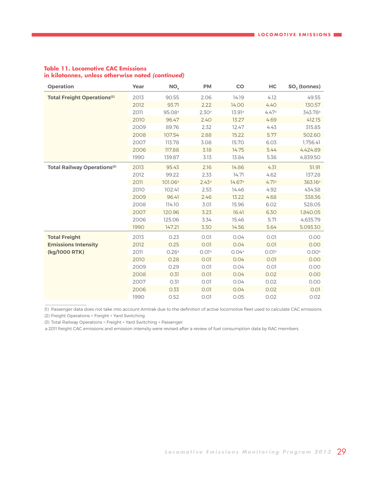| <b>Operation</b>                   | Year | NO <sub>x</sub>     | <b>PM</b> | CO     | HC    | $SO2$ (tonnes)      |
|------------------------------------|------|---------------------|-----------|--------|-------|---------------------|
| <b>Total Freight Operations(2)</b> | 2013 | 90.55               | 2.06      | 14.19  | 4.12  | 49.55               |
|                                    | 2012 | 93.71               | 2.22      | 14.00  | 4.40  | 130.57              |
|                                    | 2011 | 95.08 <sup>a</sup>  | 2.30a     | 13.91a | 4.47a | 343.78 <sup>a</sup> |
|                                    | 2010 | 96.47               | 2.40      | 13.27  | 4.69  | 412.15              |
|                                    | 2009 | 89.76               | 2.32      | 12.47  | 4.43  | 315.85              |
|                                    | 2008 | 107.54              | 2.88      | 15.22  | 5.77  | 502.60              |
|                                    | 2007 | 113.78              | 3.08      | 15.70  | 6.03  | 1,756.41            |
|                                    | 2006 | 117.88              | 3.18      | 14.75  | 5.44  | 4.424.89            |
|                                    | 1990 | 139.87              | 3.13      | 13.84  | 5.36  | 4,839.50            |
| <b>Total Railway Operations(3)</b> | 2013 | 95.43               | 2.16      | 14.86  | 4.31  | 51.91               |
|                                    | 2012 | 99.22               | 2.33      | 14.71  | 4.62  | 137.28              |
|                                    | 2011 | 101.06 <sup>a</sup> | 2.43a     | 14.67a | 4.71a | 363.16 <sup>a</sup> |
|                                    | 2010 | 102.41              | 2.53      | 14.46  | 4.92  | 434.58              |
|                                    | 2009 | 96.41               | 2.46      | 13.22  | 4.68  | 338.36              |
|                                    | 2008 | 114.10              | 3.01      | 15.96  | 6.02  | 528.05              |
|                                    | 2007 | 120.96              | 3.23      | 16.41  | 6.30  | 1,840.05            |
|                                    | 2006 | 125.06              | 3.34      | 15.46  | 5.71  | 4,635.79            |
|                                    | 1990 | 147.21              | 3.30      | 14.56  | 5.64  | 5,093.30            |
| <b>Total Freight</b>               | 2013 | 0.23                | 0.01      | 0.04   | 0.01  | 0.00                |
| <b>Emissions Intensity</b>         | 2012 | 0.25                | 0.01      | 0.04   | 0.01  | 0.00                |
| (kg/1000 RTK)                      | 2011 | 0.26a               | 0.01a     | 0.04a  | 0.01a | 0.00a               |
|                                    | 2010 | 0.28                | 0.01      | 0.04   | 0.01  | 0.00                |
|                                    | 2009 | 0.29                | 0.01      | 0.04   | 0.01  | 0.00                |
|                                    | 2008 | 0.31                | 0.01      | 0.04   | 0.02  | 0.00                |
|                                    | 2007 | 0.31                | 0.01      | 0.04   | 0.02  | 0.00                |
|                                    | 2006 | 0.33                | 0.01      | 0.04   | 0.02  | 0.01                |
|                                    | 1990 | 0.52                | 0.01      | 0.05   | 0.02  | 0.02                |

### **Table 11. Locomotive CAC Emissions in kilotonnes, unless otherwise noted (continued)**

(1) Passenger data does not take into account Amtrak due to the definition of active locomotive fleet used to calculate CAC emissions.

(2) Freight Operations = Freight + Yard Switching

 $\frac{1}{2}$  ,  $\frac{1}{2}$  ,  $\frac{1}{2}$  ,  $\frac{1}{2}$  ,  $\frac{1}{2}$  ,  $\frac{1}{2}$  ,  $\frac{1}{2}$  ,  $\frac{1}{2}$  ,  $\frac{1}{2}$  ,  $\frac{1}{2}$ 

(3) Total Railway Operations = Freight + Yard Switching + Passenger

a 2011 freight CAC emissions and emission intensity were revised after a review of fuel consumption data by RAC members.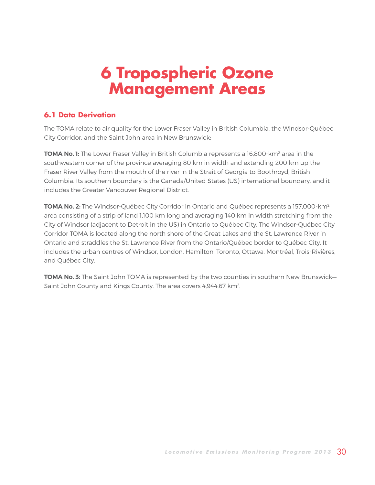## <span id="page-29-0"></span>**6 Tropospheric Ozone Management Areas**

### **6.1 Data Derivation**

The TOMA relate to air quality for the Lower Fraser Valley in British Columbia, the Windsor-Québec City Corridor, and the Saint John area in New Brunswick:

**TOMA No. 1:** The Lower Fraser Valley in British Columbia represents a 16,800-km<sup>2</sup> area in the southwestern corner of the province averaging 80 km in width and extending 200 km up the Fraser River Valley from the mouth of the river in the Strait of Georgia to Boothroyd, British Columbia. Its southern boundary is the Canada/United States (US) international boundary, and it includes the Greater Vancouver Regional District.

**TOMA No. 2:** The Windsor-Québec City Corridor in Ontario and Québec represents a 157,000-km<sup>2</sup> area consisting of a strip of land 1,100 km long and averaging 140 km in width stretching from the City of Windsor (adjacent to Detroit in the US) in Ontario to Québec City. The Windsor-Québec City Corridor TOMA is located along the north shore of the Great Lakes and the St. Lawrence River in Ontario and straddles the St. Lawrence River from the Ontario/Québec border to Québec City. It includes the urban centres of Windsor, London, Hamilton, Toronto, Ottawa, Montréal, Trois-Rivières, and Québec City.

**TOMA No. 3:** The Saint John TOMA is represented by the two counties in southern New Brunswick— Saint John County and Kings County. The area covers 4,944.67 km<sup>2</sup>.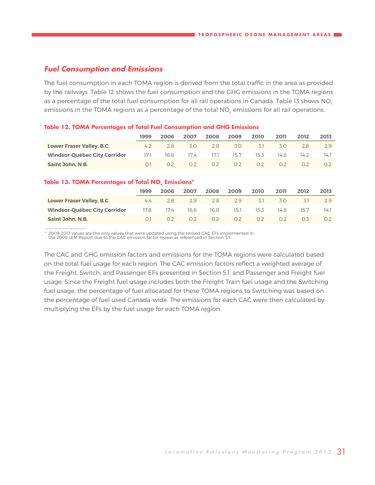### <span id="page-30-0"></span>**Fuel Consumption and Emissions**

The fuel consumption in each TOMA region is derived from the total traffic in the area as provided by the railways. Table 12 shows the fuel consumption and the GHG emissions in the TOMA regions as a percentage of the total fuel consumption for all rail operations in Canada. Table 13 shows NO<sub>x</sub> emissions in the TOMA regions as a percentage of the total NO<sub>x</sub> emissions for all rail operations.

### **Table 12. TOMA Percentages of Total Fuel Consumption and GHG Emissions**

|                              | 1999      | 2006 | 2007 | 2008 | 2009 | 2010 | 2011 | 2012 | 2013 |
|------------------------------|-----------|------|------|------|------|------|------|------|------|
| Lower Fraser Valley, B.C.    | 4.2       | 28   | 3.0  | 2.8  | 3.0  | 3.1  | 3.0  | 28   | 29   |
| Windsor-Québec City Corridor | 17.1      | 16.8 | 17.4 | 17.1 | 15.7 | 15.3 | 14.8 | 14.2 | 14.1 |
| Saint John, N.B.             | $\bigcap$ |      | 0.2  | 0.2  | 0.2  | 0.2  | 02   | 0.2  |      |

### Table 13. TOMA Percentages of Total NO<sub>x</sub> Emissions\*

 $\frac{1}{2}$  ,  $\frac{1}{2}$  ,  $\frac{1}{2}$  ,  $\frac{1}{2}$  ,  $\frac{1}{2}$  ,  $\frac{1}{2}$  ,  $\frac{1}{2}$  ,  $\frac{1}{2}$  ,  $\frac{1}{2}$  ,  $\frac{1}{2}$ 

|                              | 1999           | 2006 | 2007 | 2008 | 2009 | 2010             | 2011           | 2012 | 2013 |
|------------------------------|----------------|------|------|------|------|------------------|----------------|------|------|
| Lower Fraser Valley, B.C.    | 4.4            | 28   | 2.9  | 2.8  | 2.9  | -3.1             | 3.O            | 3.1  | 79   |
| Windsor-Québec City Corridor | 17.8           | 17.4 | 16.6 | 16.8 | 15.1 | 15.3             | 14.8           | 15.7 | 14.1 |
| Saint John, N.B.             | O <sub>1</sub> |      | 02   | 0.2  | 0.2  | 0.2 <sub>2</sub> | O <sub>2</sub> | 03.  |      |

\* 2009–2013 values are the only values that were updated using the revised CAC EFs implemented in the 2009 LEM Report due to the CAC emission factor review as referenced in Section 5.1.

The CAC and GHG emission factors and emissions for the TOMA regions were calculated based on the total fuel usage for each region. The CAC emission factors reflect a weighted average of the Freight, Switch, and Passenger EFs presented in Section 5.1, and Passenger and Freight fuel usage. Since the Freight fuel usage includes both the Freight Train fuel usage and the Switching fuel usage, the percentage of fuel allocated for these TOMA regions to Switching was based on the percentage of fuel used Canada-wide. The emissions for each CAC were then calculated by multiplying the EFs by the fuel usage for each TOMA region.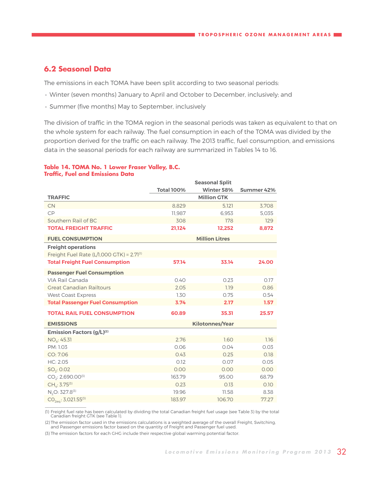### <span id="page-31-0"></span>**6.2 Seasonal Data**

 $\frac{1}{2}$  ,  $\frac{1}{2}$  ,  $\frac{1}{2}$  ,  $\frac{1}{2}$  ,  $\frac{1}{2}$  ,  $\frac{1}{2}$  ,  $\frac{1}{2}$  ,  $\frac{1}{2}$  ,  $\frac{1}{2}$  ,  $\frac{1}{2}$ 

The emissions in each TOMA have been split according to two seasonal periods:

- Winter (seven months) January to April and October to December, inclusively; and
- Summer (five months) May to September, inclusively

The division of traffic in the TOMA region in the seasonal periods was taken as equivalent to that on the whole system for each railway. The fuel consumption in each of the TOMA was divided by the proportion derived for the traffic on each railway. The 2013 traffic, fuel consumption, and emissions data in the seasonal periods for each railway are summarized in Tables 14 to 16.

#### **Table 14. TOMA No. 1 Lower Fraser Valley, B.C. Traffic, Fuel and Emissions Data**

|                                                | <b>Total 100%</b> | <b>Seasonal Split</b><br>Winter 58% | Summer 42% |
|------------------------------------------------|-------------------|-------------------------------------|------------|
| <b>TRAFFIC</b>                                 |                   | <b>Million GTK</b>                  |            |
| <b>CN</b>                                      | 8.829             | 5.121                               | 3.708      |
| CP                                             | 11.987            | 6.953                               | 5.035      |
| Southern Rail of BC                            | 308               | 178                                 | 129        |
| <b>TOTAL FREIGHT TRAFFIC</b>                   | 21,124            | 12,252                              | 8,872      |
| <b>FUEL CONSUMPTION</b>                        |                   | <b>Million Litres</b>               |            |
| <b>Freight operations</b>                      |                   |                                     |            |
| Freight Fuel Rate (L/1,000 GTK) = $2.71^{(1)}$ |                   |                                     |            |
| <b>Total Freight Fuel Consumption</b>          | 57.14             | 33.14                               | 24.00      |
| <b>Passenger Fuel Consumption</b>              |                   |                                     |            |
| VIA Rail Canada                                | 0.40              | 0.23                                | 0.17       |
| <b>Great Canadian Railtours</b>                | 2.05              | 1.19                                | 0.86       |
| <b>West Coast Express</b>                      | 1.30              | 0.75                                | 0.54       |
| <b>Total Passenger Fuel Consumption</b>        | 3.74              | 2.17                                | 1.57       |
| <b>TOTAL RAIL FUEL CONSUMPTION</b>             | 60.89             | 35.31                               | 25.57      |
| <b>EMISSIONS</b>                               |                   | <b>Kilotonnes/Year</b>              |            |
| <b>Emission Factors (g/L)(2)</b>               |                   |                                     |            |
| $NO_{x}$ : 45.31                               | 2.76              | 1.60                                | 1.16       |
| PM: 1.03                                       | 0.06              | 0.04                                | 0.03       |
| CO: 7.06                                       | 0.43              | 0.25                                | 0.18       |
| HC: 2.05                                       | 0.12              | 0.07                                | 0.05       |
| $SO_2$ : 0.02                                  | 0.00              | 0.00                                | 0.00       |
| $CO2: 2,690.00^{(3)}$                          | 163.79            | 95.00                               | 68.79      |
| $CH_4$ : 3.75 <sup>(3)</sup>                   | 0.23              | 0.13                                | 0.10       |
| N <sub>2</sub> O: 327.8 <sup>(3)</sup>         | 19.96             | 11.58                               | 8.38       |
| $CO2ea: 3,021.55(3)$                           | 183.97            | 106.70                              | 77.27      |

(1) Freight fuel rate has been calculated by dividing the total Canadian freight fuel usage (see Table 3) by the total Canadian freight GTK (see Table 1).

(2) The emission factor used in the emissions calculations is a weighted average of the overall Freight, Switching, and Passenger emissions factor based on the quantity of Freight and Passenger fuel used.

(3) The emission factors for each GHG include their respective global warming potential factor.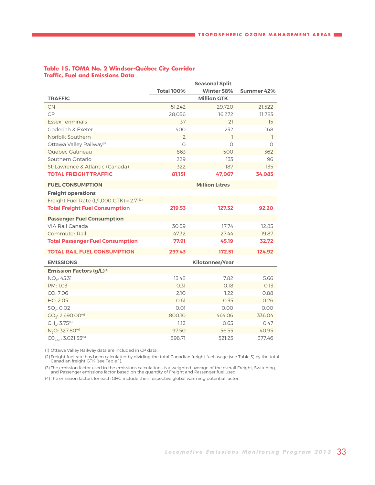|                                                |                   | <b>Seasonal Split</b>  |                |
|------------------------------------------------|-------------------|------------------------|----------------|
|                                                | <b>Total 100%</b> | Winter 58%             | Summer 42%     |
| <b>TRAFFIC</b>                                 |                   | <b>Million GTK</b>     |                |
| <b>CN</b>                                      | 51,242            | 29,720                 | 21,522         |
| CP                                             | 28,056            | 16,272                 | 11,783         |
| <b>Essex Terminals</b>                         | 37                | 21                     | 15             |
| Goderich & Exeter                              | 400               | 232                    | 168            |
| Norfolk Southern                               | $\overline{2}$    | ı                      | $\overline{1}$ |
| Ottawa Valley Railway <sup>(1)</sup>           | $\circ$           | $\circ$                | 0              |
| Québec Gatineau                                | 863               | 500                    | 362            |
| Southern Ontario                               | 229               | 133                    | 96             |
| St-Lawrence & Atlantic (Canada)                | 322               | 187                    | 135            |
| <b>TOTAL FREIGHT TRAFFIC</b>                   | 81,151            | 47,067                 | 34,083         |
| <b>FUEL CONSUMPTION</b>                        |                   | <b>Million Litres</b>  |                |
| <b>Freight operations</b>                      |                   |                        |                |
| Freight Fuel Rate (L/1,000 GTK) = $2.71^{(2)}$ |                   |                        |                |
| <b>Total Freight Fuel Consumption</b>          | 219.53            | 127.32                 | 92.20          |
| <b>Passenger Fuel Consumption</b>              |                   |                        |                |
| VIA Rail Canada                                | 30.59             | 17.74                  | 12.85          |
| <b>Commuter Rail</b>                           | 47.32             | 27.44                  | 19.87          |
| <b>Total Passenger Fuel Consumption</b>        | 77.91             | 45.19                  | 32.72          |
| <b>TOTAL RAIL FUEL CONSUMPTION</b>             | 297.43            | 172.51                 | 124.92         |
| <b>EMISSIONS</b>                               |                   | <b>Kilotonnes/Year</b> |                |
| <b>Emission Factors (g/L)(3)</b>               |                   |                        |                |
| $NO_{x}$ : 45.31                               | 13.48             | 7.82                   | 5.66           |
| PM: 1.03                                       | 0.31              | 0.18                   | 0.13           |
| CO: 7.06                                       | 2.10              | 1.22                   | 0.88           |
| HC: 2.05                                       | 0.61              | 0.35                   | 0.26           |
| $SO_2$ : 0.02                                  | 0.01              | 0.00                   | 0.00           |
| $CO2: 2,690.00(4)$                             | 800.10            | 464.06                 | 336.04         |
| $CH_4$ : 3.75 <sup>(4)</sup>                   | 1.12              | 0.65                   | 0.47           |
| N <sub>2</sub> O: 327.80 <sup>(4)</sup>        | 97.50             | 56.55                  | 40.95          |
| $CO_{2.01}$ : 3,021.55 <sup>(4)</sup>          | 898.71            | 521.25                 | 377.46         |

### <span id="page-32-0"></span>**Table 15. TOMA No. 2 Windsor-Québec City Corridor Traffic, Fuel and Emissions Data**

(1) Ottawa Valley Railway data are included in CP data.

 $\frac{1}{2}$  ,  $\frac{1}{2}$  ,  $\frac{1}{2}$  ,  $\frac{1}{2}$  ,  $\frac{1}{2}$  ,  $\frac{1}{2}$  ,  $\frac{1}{2}$  ,  $\frac{1}{2}$  ,  $\frac{1}{2}$  ,  $\frac{1}{2}$ 

(2) Freight fuel rate has been calculated by dividing the total Canadian freight fuel usage (see Table 3) by the total Canadian freight GTK (see Table 1).

(3) The emission factor used in the emissions calculations is a weighted average of the overall Freight, Switching, and Passenger emissions factor based on the quantity of Freight and Passenger fuel used.

(4) The emission factors for each GHG include their respective global warming potential factor.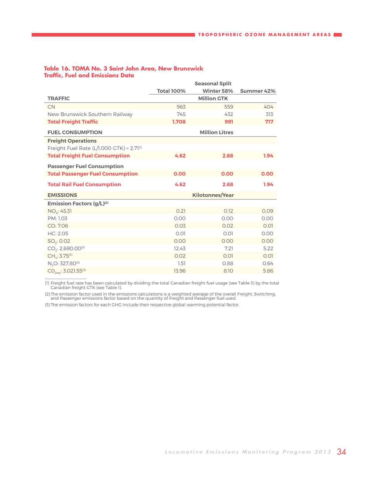|                                                | <b>Seasonal Split</b> |                        |            |  |  |
|------------------------------------------------|-----------------------|------------------------|------------|--|--|
|                                                | <b>Total 100%</b>     | Winter 58%             | Summer 42% |  |  |
| <b>TRAFFIC</b>                                 |                       | <b>Million GTK</b>     |            |  |  |
| <b>CN</b>                                      | 963                   | 559                    | 404        |  |  |
| New Brunswick Southern Railway                 | 745                   | 432                    | 313        |  |  |
| <b>Total Freight Traffic</b>                   | 1.708                 | 991                    | 717        |  |  |
| <b>FUEL CONSUMPTION</b>                        |                       | <b>Million Litres</b>  |            |  |  |
| <b>Freight Operations</b>                      |                       |                        |            |  |  |
| Freight Fuel Rate (L/1,000 GTK) = $2.71^{(1)}$ |                       |                        |            |  |  |
| <b>Total Freight Fuel Consumption</b>          | 4.62                  | 2.68                   | 1.94       |  |  |
| <b>Passenger Fuel Consumption</b>              |                       |                        |            |  |  |
| <b>Total Passenger Fuel Consumption</b>        | 0.00                  | 0.00                   | 0.00       |  |  |
| <b>Total Rail Fuel Consumption</b>             | 4.62                  | 2.68                   | 1.94       |  |  |
| <b>EMISSIONS</b>                               |                       | <b>Kilotonnes/Year</b> |            |  |  |
| <b>Emission Factors (g/L)(2)</b>               |                       |                        |            |  |  |
| $NO_{x}$ : 45.31                               | 0.21                  | 0.12                   | 0.09       |  |  |
| PM: 1.03                                       | 0.00                  | 0.00                   | 0.00       |  |  |
| CO: 7.06                                       | 0.03                  | 0.02                   | 0.01       |  |  |
| HC: 2.05                                       | 0.01                  | 0.01                   | 0.00       |  |  |
| $SO_2$ : 0.02                                  | 0.00                  | 0.00                   | 0.00       |  |  |
| $CO2: 2,690.00^{(3)}$                          | 12.43                 | 7.21                   | 5.22       |  |  |
| $CH_4$ : 3.75 $(3)$                            | 0.02                  | 0.01                   | 0.01       |  |  |
| N <sub>2</sub> O: 327.80 <sup>(3)</sup>        | 1.51                  | 0.88                   | 0.64       |  |  |
| $CO_{2ea}: 3,021.55^{(3)}$                     | 13.96                 | 8.10                   | 5.86       |  |  |
|                                                |                       |                        |            |  |  |

### <span id="page-33-0"></span>**Table 16. TOMA No. 3 Saint John Area, New Brunswick Traffic, Fuel and Emissions Data**

(1) Freight fuel rate has been calculated by dividing the total Canadian freight fuel usage (see Table 3) by the total Canadian freight GTK (see Table 1).

(2) The emission factor used in the emissions calculations is a weighted average of the overall Freight, Switching, and Passenger emissions factor based on the quantity of Freight and Passenger fuel used.

(3) The emission factors for each GHG include their respective global warming potential factor.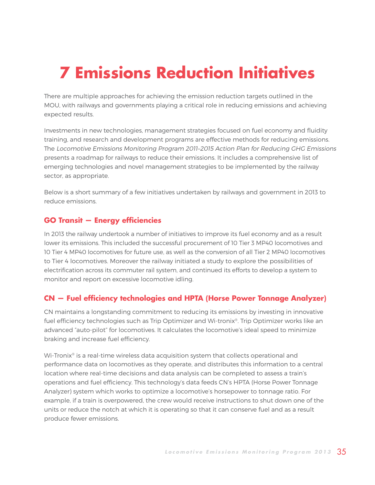# <span id="page-34-0"></span>**7 Emissions Reduction Initiatives**

There are multiple approaches for achieving the emission reduction targets outlined in the MOU, with railways and governments playing a critical role in reducing emissions and achieving expected results.

Investments in new technologies, management strategies focused on fuel economy and fluidity training, and research and development programs are effective methods for reducing emissions. The Locomotive Emissions Monitoring Program 2011–2015 Action Plan for Reducing GHG Emissions presents a roadmap for railways to reduce their emissions. It includes a comprehensive list of emerging technologies and novel management strategies to be implemented by the railway sector, as appropriate.

Below is a short summary of a few initiatives undertaken by railways and government in 2013 to reduce emissions.

### **GO Transit — Energy efficiencies**

In 2013 the railway undertook a number of initiatives to improve its fuel economy and as a result lower its emissions. This included the successful procurement of 10 Tier 3 MP40 locomotives and 10 Tier 4 MP40 locomotives for future use, as well as the conversion of all Tier 2 MP40 locomotives to Tier 4 locomotives. Moreover the railway initiated a study to explore the possibilities of electrification across its commuter rail system, and continued its efforts to develop a system to monitor and report on excessive locomotive idling.

### **CN — Fuel efficiency technologies and HPTA (Horse Power Tonnage Analyzer)**

CN maintains a longstanding commitment to reducing its emissions by investing in innovative fuel efficiency technologies such as Trip Optimizer and Wi-tronix®. Trip Optimizer works like an advanced "auto-pilot" for locomotives. It calculates the locomotive's ideal speed to minimize braking and increase fuel efficiency.

Wi-Tronix<sup>®</sup> is a real-time wireless data acquisition system that collects operational and performance data on locomotives as they operate, and distributes this information to a central location where real-time decisions and data analysis can be completed to assess a train's operations and fuel efficiency. This technology's data feeds CN's HPTA (Horse Power Tonnage Analyzer) system which works to optimize a locomotive's horsepower to tonnage ratio. For example, if a train is overpowered, the crew would receive instructions to shut down one of the units or reduce the notch at which it is operating so that it can conserve fuel and as a result produce fewer emissions.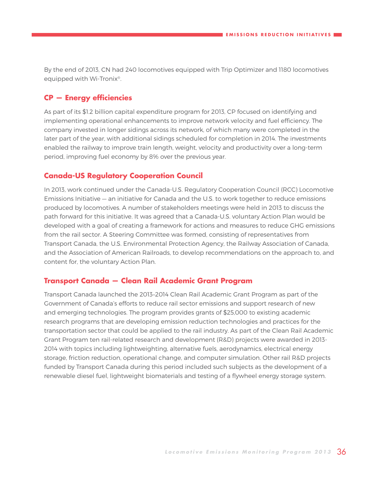By the end of 2013, CN had 240 locomotives equipped with Trip Optimizer and 1180 locomotives equipped with Wi-Tronix®.

### **CP — Energy efficiencies**

As part of its \$1.2 billion capital expenditure program for 2013, CP focused on identifying and implementing operational enhancements to improve network velocity and fuel efficiency. The company invested in longer sidings across its network, of which many were completed in the later part of the year, with additional sidings scheduled for completion in 2014. The investments enabled the railway to improve train length, weight, velocity and productivity over a long-term period, improving fuel economy by 8% over the previous year.

### **Canada-US Regulatory Cooperation Council**

In 2013, work continued under the Canada-U.S. Regulatory Cooperation Council (RCC) Locomotive Emissions Initiative — an initiative for Canada and the U.S. to work together to reduce emissions produced by locomotives. A number of stakeholders meetings were held in 2013 to discuss the path forward for this initiative. It was agreed that a Canada-U.S. voluntary Action Plan would be developed with a goal of creating a framework for actions and measures to reduce GHG emissions from the rail sector. A Steering Committee was formed, consisting of representatives from Transport Canada, the U.S. Environmental Protection Agency, the Railway Association of Canada, and the Association of American Railroads, to develop recommendations on the approach to, and content for, the voluntary Action Plan.

### **Transport Canada — Clean Rail Academic Grant Program**

Transport Canada launched the 2013–2014 Clean Rail Academic Grant Program as part of the Government of Canada's efforts to reduce rail sector emissions and support research of new and emerging technologies. The program provides grants of \$25,000 to existing academic research programs that are developing emission reduction technologies and practices for the transportation sector that could be applied to the rail industry. As part of the Clean Rail Academic Grant Program ten rail-related research and development (R&D) projects were awarded in 2013- 2014 with topics including lightweighting, alternative fuels, aerodynamics, electrical energy storage, friction reduction, operational change, and computer simulation. Other rail R&D projects funded by Transport Canada during this period included such subjects as the development of a renewable diesel fuel, lightweight biomaterials and testing of a flywheel energy storage system.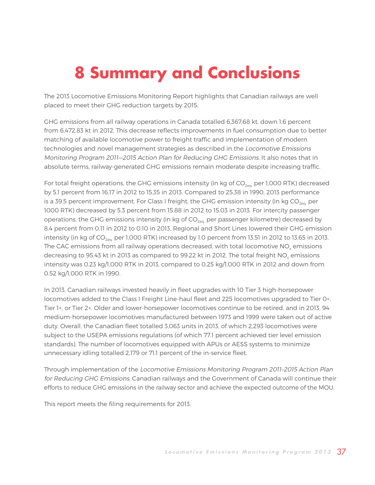# <span id="page-36-0"></span>**8 Summary and Conclusions**

The 2013 Locomotive Emissions Monitoring Report highlights that Canadian railways are well placed to meet their GHG reduction targets by 2015.

GHG emissions from all railway operations in Canada totalled 6,367.68 kt, down 1.6 percent from 6,472.83 kt in 2012. This decrease reflects improvements in fuel consumption due to better matching of available locomotive power to freight traffic and implementation of modern technologies and novel management strategies as described in the Locomotive Emissions Monitoring Program 2011—2015 Action Plan for Reducing GHG Emissions. It also notes that in absolute terms, railway-generated GHG emissions remain moderate despite increasing traffic.

For total freight operations, the GHG emissions intensity (in kg of  $CO<sub>201</sub>$  per 1,000 RTK) decreased by 5.1 percent from 16.17 in 2012 to 15.35 in 2013. Compared to 25.38 in 1990, 2013 performance is a 39.5 percent improvement. For Class I freight, the GHG emission intensity (in kg  $CO<sub>201</sub>$  per 1000 RTK) decreased by 5.3 percent from 15.88 in 2012 to 15.03 in 2013. For intercity passenger operations, the GHG emissions intensity (in kg of  $CO<sub>2ea</sub>$  per passenger kilometre) decreased by 8.4 percent from 0.11 in 2012 to 0.10 in 2013. Regional and Short Lines lowered their GHG emission intensity (in kg of  $CO<sub>2ea</sub>$  per 1,000 RTK) increased by 1.0 percent from 13.51 in 2012 to 13.65 in 2013. The CAC emissions from all railway operations decreased, with total locomotive NO<sub>y</sub> emissions decreasing to 95.43 kt in 2013 as compared to 99.22 kt in 2012. The total freight NO<sub>v</sub> emissions intensity was 0.23 kg/1,000 RTK in 2013, compared to 0.25 kg/1,000 RTK in 2012 and down from 0.52 kg/1,000 RTK in 1990.

In 2013, Canadian railways invested heavily in fleet upgrades with 10 Tier 3 high-horsepower locomotives added to the Class I Freight Line-haul fleet and 225 locomotives upgraded to Tier 0+, Tier 1+, or Tier 2+. Older and lower-horsepower locomotives continue to be retired, and in 2013, 94 medium-horsepower locomotives manufactured between 1973 and 1999 were taken out of active duty. Overall, the Canadian fleet totalled 3,063 units in 2013, of which 2,293 locomotives were subject to the USEPA emissions regulations (of which 77.1 percent achieved tier level emission standards). The number of locomotives equipped with APUs or AESS systems to minimize unnecessary idling totalled 2,179 or 71.1 percent of the in-service fleet.

Through implementation of the Locomotive Emissions Monitoring Program 2011–2015 Action Plan for Reducing GHG Emissions, Canadian railways and the Government of Canada will continue their efforts to reduce GHG emissions in the railway sector and achieve the expected outcome of the MOU.

This report meets the filing requirements for 2013.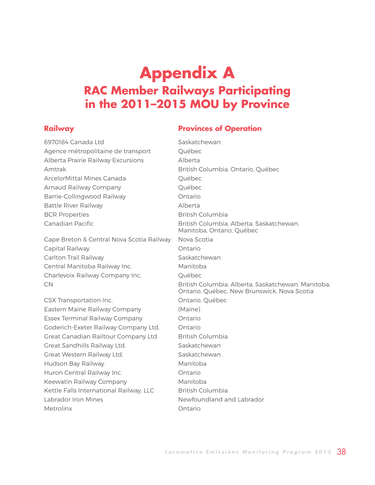### <span id="page-37-0"></span>**Appendix A RAC Member Railways Participating in the 2011–2015 MOU by Province**

### **Railway Railway Provinces of Operation**

| 6970184 Canada Ltd                        | Saskatchewan                                                                                      |
|-------------------------------------------|---------------------------------------------------------------------------------------------------|
| Agence métropolitaine de transport        | Québec                                                                                            |
| Alberta Prairie Railway Excursions        | Alberta                                                                                           |
| Amtrak                                    | British Columbia, Ontario, Québec                                                                 |
| ArcelorMittal Mines Canada                | Québec                                                                                            |
| Arnaud Railway Company                    | Québec                                                                                            |
| Barrie-Collingwood Railway                | Ontario                                                                                           |
| <b>Battle River Railway</b>               | Alberta                                                                                           |
| <b>BCR Properties</b>                     | British Columbia                                                                                  |
| Canadian Pacific                          | British Columbia, Alberta, Saskatchewan,<br>Manitoba, Ontario, Québec                             |
| Cape Breton & Central Nova Scotia Railway | Nova Scotia                                                                                       |
| Capital Railway                           | Ontario                                                                                           |
| Carlton Trail Railway                     | Saskatchewan                                                                                      |
| Central Manitoba Railway Inc.             | Manitoba                                                                                          |
| Charlevoix Railway Company Inc.           | Québec                                                                                            |
| <b>CN</b>                                 | British Columbia, Alberta, Saskatchewan, Manitoba,<br>Ontario, Québec, New Brunswick, Nova Scotia |
| CSX Transportation Inc.                   | Ontario, Québec                                                                                   |
| Eastern Maine Railway Company             | (Maine)                                                                                           |
| <b>Essex Terminal Railway Company</b>     | Ontario                                                                                           |
| Goderich-Exeter Railway Company Ltd.      | Ontario                                                                                           |
| Great Canadian Railtour Company Ltd.      | <b>British Columbia</b>                                                                           |
| Great Sandhills Railway Ltd.              | Saskatchewan                                                                                      |
| Great Western Railway Ltd.                | Saskatchewan                                                                                      |
| Hudson Bay Railway                        | Manitoba                                                                                          |
| Huron Central Railway Inc.                | Ontario                                                                                           |
| Keewatin Railway Company                  | Manitoba                                                                                          |
| Kettle Falls International Railway, LLC   | <b>British Columbia</b>                                                                           |
| Labrador Iron Mines                       | Newfoundland and Labrador                                                                         |
| Metrolinx                                 | Ontario                                                                                           |
|                                           |                                                                                                   |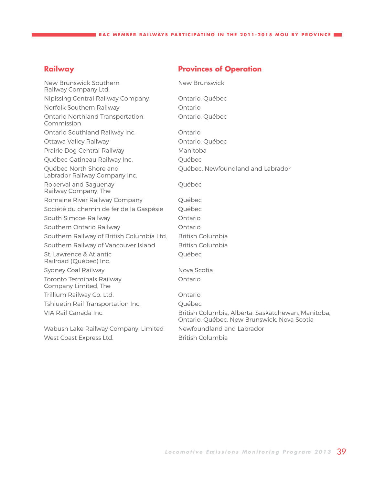### **Railway <b>Provinces of Operation**

| New Brunswick Southern<br>Railway Company Ltd.           | New Brunswick                                                                                     |
|----------------------------------------------------------|---------------------------------------------------------------------------------------------------|
| Nipissing Central Railway Company                        | Ontario, Québec                                                                                   |
| Norfolk Southern Railway                                 | Ontario                                                                                           |
| Ontario Northland Transportation<br>Commission           | Ontario, Québec                                                                                   |
| Ontario Southland Railway Inc.                           | Ontario                                                                                           |
| Ottawa Valley Railway                                    | Ontario, Québec                                                                                   |
| Prairie Dog Central Railway                              | Manitoba                                                                                          |
| Québec Gatineau Railway Inc.                             | Québec                                                                                            |
| Québec North Shore and<br>Labrador Railway Company Inc.  | Québec, Newfoundland and Labrador                                                                 |
| Roberval and Saguenay<br>Railway Company, The            | Québec                                                                                            |
| Romaine River Railway Company                            | Québec                                                                                            |
| Société du chemin de fer de la Gaspésie                  | Québec                                                                                            |
| South Simcoe Railway                                     | Ontario                                                                                           |
| Southern Ontario Railway                                 | Ontario                                                                                           |
| Southern Railway of British Columbia Ltd.                | <b>British Columbia</b>                                                                           |
| Southern Railway of Vancouver Island                     | <b>British Columbia</b>                                                                           |
| St. Lawrence & Atlantic<br>Railroad (Québec) Inc.        | Québec                                                                                            |
| Sydney Coal Railway                                      | Nova Scotia                                                                                       |
| <b>Toronto Terminals Railway</b><br>Company Limited, The | Ontario                                                                                           |
| Trillium Railway Co. Ltd.                                | Ontario                                                                                           |
| Tshiuetin Rail Transportation Inc.                       | Québec                                                                                            |
| VIA Rail Canada Inc.                                     | British Columbia, Alberta, Saskatchewan, Manitoba,<br>Ontario, Québec, New Brunswick, Nova Scotia |
| Wabush Lake Railway Company, Limited                     | Newfoundland and Labrador                                                                         |
| West Coast Express Ltd.                                  | <b>British Columbia</b>                                                                           |
|                                                          |                                                                                                   |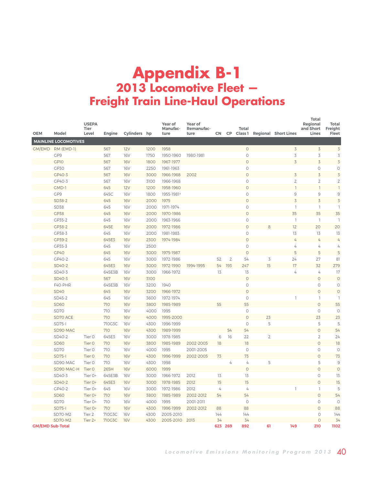### <span id="page-39-0"></span>**Appendix B-1 2013 Locomotive Fleet — Freight Train Line-Haul Operations**

| <b>OEM</b>              | Model                       | <b>USEPA</b><br>Tier<br>Level | Engine        | Cylinders hp             |              | Year of<br>Manufac-<br>ture | Year of<br>Remanufac-<br>ture | <b>CN</b> | CP.            | Total<br>Class 1 |                | <b>Regional Short Lines</b> | Total<br>Regional<br>and Short<br>Lines | <b>Total</b><br>Freight<br>Fleet |
|-------------------------|-----------------------------|-------------------------------|---------------|--------------------------|--------------|-----------------------------|-------------------------------|-----------|----------------|------------------|----------------|-----------------------------|-----------------------------------------|----------------------------------|
|                         | <b>MAINLINE LOCOMOTIVES</b> |                               |               |                          |              |                             |                               |           |                |                  |                |                             |                                         |                                  |
| GM/EMD                  | RM (EMD-1)                  |                               | 567           | 12V                      | 1200         | 1958                        |                               |           |                | $\circ$          |                | $\overline{3}$              | $\overline{5}$                          | 3                                |
|                         | GP9                         |                               | 567           | <b>16V</b>               | 1750         | 1950-1960                   | 1980-1981                     |           |                | $\circ$          |                | 3                           | 3                                       | 3                                |
|                         | GP10                        |                               | 567           | <b>16V</b>               | 1800         | 1967-1977                   |                               |           |                | $\bigcirc$       |                | $\overline{3}$              | $\overline{3}$                          | $\overline{3}$                   |
|                         | GP30                        |                               | 567           | <b>16V</b>               | 2250         | 1961-1963                   |                               |           |                | 0                |                |                             | 0                                       | $\circ$                          |
|                         | GP40-3                      |                               | 567           | <b>16V</b>               | 3000         | 1966-1968                   | 2002                          |           |                | $\overline{O}$   |                | 3                           | $\overline{5}$                          | $\overline{3}$                   |
|                         | GP40-3                      |                               | 567           | <b>16V</b>               | 3100         | 1966-1968                   |                               |           |                | $\circ$          |                | $\overline{2}$              | $\overline{2}$                          | $\overline{2}$                   |
|                         | GMD-1                       |                               | 645           | 12V                      | 1200         | 1958-1960                   |                               |           |                | $\circ$          |                | $\overline{1}$              | $\overline{1}$                          | $\overline{1}$                   |
|                         | GP9                         |                               | 645C          | <b>16V</b>               | 1800         | 1955-1981 <sup>a</sup>      |                               |           |                | $\circ$          |                | 9                           | 9                                       | 9                                |
|                         | SD38-2                      |                               | 645           | <b>16V</b>               | 2000         | 1975                        |                               |           |                | $\circ$          |                | $\overline{3}$              | $\overline{3}$                          | 3                                |
|                         | SD38                        |                               | 645           | <b>16V</b>               | 2000         | 1971-1974                   |                               |           |                | $\circ$          |                | 1                           | 1                                       | J                                |
|                         | <b>GP38</b>                 |                               | 645           | <b>16V</b>               | 2000         | 1970-1986                   |                               |           |                | $\circ$          |                | 35                          | 35                                      | 35                               |
|                         | GP35-2                      |                               | 645           | <b>16V</b>               | 2000         | 1963-1966                   |                               |           |                | $\circ$          |                | $\overline{1}$              | 1                                       | 1                                |
|                         | GP38-2                      |                               | 645E          | <b>16V</b>               | 2000         | 1972-1986                   |                               |           |                | $\circ$          |                | 12                          | 20                                      | 20                               |
|                         | GP38-3<br>GP39-2            |                               | 645           | <b>16V</b>               | 2000         | 1981-1983                   |                               |           |                | 0<br>$\circ$     |                | 13<br>$\overline{4}$        | 13<br>$\overline{4}$                    | 13<br>$\overline{4}$             |
|                         | GP35-3                      |                               | 645E3<br>645  | <b>16V</b><br><b>16V</b> | 2300<br>2500 | 1974-1984                   |                               |           |                | $\circ$          |                | 4                           | 4                                       | 4                                |
|                         | GP40                        |                               | 645           | <b>16V</b>               | 3000         | 1975-1987                   |                               |           |                | $\circ$          |                | 5                           | 5                                       | 5                                |
|                         | GP40-2                      |                               | 645           | <b>16V</b>               | 3000         | 1972-1986                   |                               | 52        | $\overline{c}$ | 54               | 3              | 24                          | 27                                      | 81                               |
|                         | SD40-2                      |                               | 645E3         | <b>16V</b>               | 3000         | 1972-1990                   | 1994-1995                     | 54        | 193            | 247              | 15             | 17                          | 32                                      | 279                              |
|                         | SD40-3                      |                               | 645E3B        | <b>16V</b>               | 3000         | 1966-1972                   |                               | 13        |                | 13               |                | 4                           | 4                                       | 17                               |
|                         | SD40-3                      |                               | 567           | <b>16V</b>               | 3100         |                             |                               |           |                | $\circ$          |                |                             | $\circ$                                 | $\circ$                          |
|                         | F40-PHR                     |                               | 645E3B        | <b>16V</b>               | 3200         | 1940                        |                               |           |                | $\circ$          |                |                             | $\circ$                                 | $\circ$                          |
|                         | <b>SD40</b>                 |                               | 645           | <b>16V</b>               | 3200         | 1966-1972                   |                               |           |                | $\circ$          |                |                             | $\circ$                                 | $\circ$                          |
|                         | SD45-2                      |                               | 645           | <b>16V</b>               | 3600         | 1972-1974                   |                               |           |                | $\circ$          |                |                             | 1                                       | $\overline{1}$                   |
|                         | <b>SD60</b>                 |                               | 710           | <b>16V</b>               | 3800         | 1985-1989                   |                               | 55        |                | 55               |                |                             | $\circ$                                 | 55                               |
|                         | SD70                        |                               | 710           | <b>16V</b>               | 4000         | 1995                        |                               |           |                | $\circ$          |                |                             | $\circ$                                 | $\circ$                          |
|                         | SD70 ACE                    |                               | 710           | <b>16V</b>               | 4000         | 1995-2000                   |                               |           |                | $\circ$          | 23             |                             | 23                                      | 23                               |
|                         | $SD75-$                     |                               | 710G3C        | <b>16V</b>               | 4300         | 1996-1999                   |                               |           |                | $\circ$          | 5              |                             | 5                                       | 5                                |
|                         | SD90-MAC                    |                               | 710           | <b>16V</b>               | 4300         | 1989-1999                   |                               |           | 54             | 54               |                |                             | $\circ$                                 | 54                               |
|                         | SD40-2                      | Tier <sub>0</sub>             | 645E3         | <b>16V</b>               | 3000         | 1978-1985                   |                               | 6         | 16             | 22               | $\overline{2}$ |                             | $\overline{2}$                          | 24                               |
|                         | <b>SD60</b>                 | Tier 0                        | 710           | <b>16V</b>               | 3800         | 1985-1989                   | 2002-2005                     | 18        |                | 18               |                |                             | $\circ$                                 | 18                               |
|                         | SD <sub>70</sub>            | Tier <sub>0</sub>             | 710           | <b>16V</b>               | 4000         | 1995                        | 2001-2005                     |           |                | $\circ$          |                |                             | $\circ$                                 | $\circ$                          |
|                         | <b>SD75-1</b>               | Tier 0                        | 710           | <b>16V</b>               | 4300         | 1996-1999                   | 2002-2005                     | 73        |                | 73               |                |                             | $\circ$                                 | 73                               |
|                         | SD90-MAC                    | Tier 0                        | 710           | <b>16V</b>               | 4300         | 1998                        |                               |           | 4              | 4                | 5              |                             | 5                                       | 9                                |
|                         | SD90-MAC-H                  | Tier <sub>0</sub>             | 265H          | <b>16V</b>               | 6000         | 1999                        |                               |           |                | $\circ$          |                |                             | $\circ$                                 | $\circ$                          |
|                         | SD40-3                      | Tier 0+                       | 645E3B        | <b>16V</b>               | 3000         | 1966-1972                   | 2012                          | 13        |                | 13               |                |                             | $\bigcirc$                              | 13                               |
|                         | SD40-2                      | Tier 0+                       | 645E3         | <b>16V</b>               | 3000         | 1978-1985                   | 2012                          | 15        |                | 15               |                |                             | $\circ$                                 | 15                               |
|                         | GP40-2                      | Tier 0+                       | 645           | <b>16V</b>               | 3000         | 1972-1986                   | 2012                          | 4         |                | 4                |                | 1                           | 1                                       | 5                                |
|                         | <b>SD60</b>                 | Tier 0+                       | 710           | <b>16V</b>               | 3800         | 1985-1989                   | 2002-2012                     | 54        |                | 54               |                |                             | $\circ$                                 | 54                               |
|                         | SD <sub>70</sub>            | Tier 0+                       | 710           | <b>16V</b>               | 4000         | 1995                        | 2001-2011                     |           |                | 0<br>88          |                |                             | 0<br>$\circ$                            | $\circ$<br>88                    |
|                         | <b>SD75-I</b><br>SD70-M2    | Tier 0+<br>Tier <sub>2</sub>  | 710<br>710G3C | <b>16V</b><br><b>16V</b> | 4300<br>4300 | 1996-1999<br>2005-2010      | 2002-2012                     | 88<br>144 |                | 144              |                |                             | $\circ$                                 | 144                              |
|                         | <b>SD70-M2</b>              | Tier 2+                       | 710G3C        | <b>16V</b>               | 4300         | 2005-2010                   | 2013                          | 34        |                | 34               |                |                             | $\circ$                                 | 34                               |
| <b>GM/EMD Sub-Total</b> |                             |                               |               |                          |              |                             |                               | 623       | 269            | 892              | 61             | 149                         | 210                                     | 1102                             |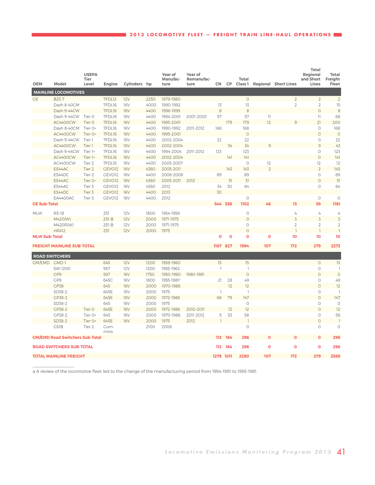| <b>OEM</b>           | Model                                  | <b>USEPA</b><br><b>Tier</b><br>Level |                    |              |      | Year of<br>Manufac-    | Year of<br>Remanufac- |                | <b>CP</b>      | Total              |                            |                             | <b>Total</b><br>Regional<br>and Short | <b>Total</b><br>Freight |
|----------------------|----------------------------------------|--------------------------------------|--------------------|--------------|------|------------------------|-----------------------|----------------|----------------|--------------------|----------------------------|-----------------------------|---------------------------------------|-------------------------|
|                      |                                        |                                      | Engine             | Cylinders hp |      | ture                   | ture                  | CN             |                | Class <sub>1</sub> |                            | <b>Regional Short Lines</b> | Lines                                 | Fleet                   |
|                      | <b>MAINLINE LOCOMOTIVES</b>            |                                      |                    |              |      |                        |                       |                |                |                    |                            |                             |                                       |                         |
| <b>GE</b>            | <b>B23-7</b>                           |                                      | 7FDL12             | 12V          | 2250 | 1979-1980              |                       |                |                | $\circ$            |                            | $\overline{2}$              | $\overline{2}$                        | $\overline{2}$          |
|                      | Dash 8-40CM                            |                                      | 7FDL16             | <b>16V</b>   | 4000 | 1990-1992              |                       | 13             |                | 13                 |                            | $\overline{2}$              | $\mathbf{2}$                          | 15                      |
|                      | Dash 9-44CW                            |                                      | 7FDL16             | <b>16V</b>   | 4400 | 1996-1999              |                       | 8              |                | 8                  |                            |                             | $\circ$                               | 8                       |
|                      | Dash 9-44CW                            | Tier 0                               | 7FDL16             | <b>16V</b>   | 4400 | 1994-2001              | 2001-2003             | 57             |                | 57                 | $\left\lceil \right\rceil$ |                             | 11                                    | 68                      |
|                      | AC4400CW                               | Tier 0                               | 7FDL16             | <b>16V</b>   | 4400 | 1995-2001              |                       |                | 179            | 179                | 12                         | 9                           | $\overline{21}$                       | 200                     |
|                      | Dash 8-40CM                            | Tier 0+                              | 7FDL16             | <b>16V</b>   | 4400 | 1990-1992              | 2011-2012             | 168            |                | 168                |                            |                             | $\circ$                               | 168                     |
|                      | AC4400CW                               | Tier 0+                              | 7FDL16             | <b>16V</b>   | 4400 | 1995-2001              |                       |                |                | $\circ$            |                            |                             | $\circ$                               | $\circ$                 |
|                      | Dash 9-44CW                            | Tier 1                               | 7FDL16             | <b>16V</b>   | 4400 | 2002-2004              |                       | 22             |                | 22                 |                            |                             | $\circ$                               | 22                      |
|                      | <b>AC4400CW</b>                        | Tier 1                               | 7FDL16             | <b>16V</b>   | 4400 | 2002-2004              |                       |                | 34             | 34                 | 9                          |                             | 9                                     | 43                      |
|                      | Dash 9-44CW                            | Tier 1+                              | 7FDL16             | <b>16V</b>   | 4400 | 1994-2004              | 2011-2012             | 123            |                | 123                |                            |                             | $\circ$                               | 123                     |
|                      | AC4400CW                               | Tier <sub>1+</sub>                   | 7FDL16             | <b>16V</b>   | 4400 | 2002-2004              |                       |                | 141            | 141                |                            |                             | $\circ$                               | 4                       |
|                      | AC4400CW                               | Tier <sub>2</sub>                    | 7FDL16             | <b>16V</b>   | 4400 | 2005-2007              |                       |                |                | $\circ$            | 12                         |                             | 12                                    | 12                      |
|                      | ES44AC                                 | Tier <sub>2</sub>                    | GEVO <sub>12</sub> | <b>16V</b>   | 4360 | 2005-2011              |                       |                | 143            | 143                | $\overline{2}$             |                             | $\overline{2}$                        | 145                     |
|                      | ES44DC                                 | Tier 2                               | GEVO12             | <b>16V</b>   | 4400 | 2006-2008              |                       | 89             |                | 89                 |                            |                             | $\circ$                               | 89                      |
|                      | ES44AC                                 | Tier 2+                              | GEVO12             | <b>16V</b>   | 4360 | 2005-2011              | 2012                  |                | 31             | 31                 |                            |                             | $\circ$                               | 31                      |
|                      | ES44AC                                 | Tier 3                               | GEVO12             | <b>16V</b>   | 4360 | 2012                   |                       | 34             | 30             | 64                 |                            |                             | $\circ$                               | 64                      |
|                      | ES44DC                                 | Tier 3                               | GEVO <sub>12</sub> | <b>16V</b>   | 4400 | 2013                   |                       | 30             |                |                    |                            |                             |                                       |                         |
|                      | <b>EA4400AC</b>                        | Tier 3                               | GEVO12             | <b>16V</b>   | 4400 | 2012                   |                       |                |                | $\circ$            |                            |                             | $\circ$                               | $\circ$                 |
| <b>GE Sub-Total</b>  |                                        |                                      |                    |              |      |                        |                       | 544            | 558            | 1102               | 46                         | 13                          | 59                                    | 1161                    |
| <b>MLW</b>           | <b>RS-18</b>                           |                                      | 251                | 12V          | 1800 | 1954-1958              |                       |                |                | $\circ$            |                            | 4                           | 4                                     | 4                       |
|                      | M420(W)                                |                                      | $251 - B$          | 12V          | 2000 | 1971-1975              |                       |                |                | $\circ$            |                            | $\overline{5}$              | $\overline{3}$                        | 3                       |
|                      | M420R(W)                               |                                      | $251 - B$          | 12V          | 2000 | 1971-1975              |                       |                |                | $\circ$            |                            | $\overline{2}$              | $\overline{2}$                        | $\overline{2}$          |
|                      | <b>HR412</b>                           |                                      | 251                | 12V          | 2000 | 1975                   |                       |                |                | $\circ$            |                            |                             | $\overline{1}$                        |                         |
| <b>MLW Sub-Total</b> |                                        |                                      |                    |              |      |                        |                       | Ō              | $\overline{0}$ | O                  | Ō                          | 10                          | 10                                    | 10                      |
|                      |                                        |                                      |                    |              |      |                        |                       |                |                |                    |                            |                             |                                       |                         |
|                      | <b>FREIGHT MAINLINE SUB-TOTAL</b>      |                                      |                    |              |      |                        |                       | 1167           | 827            | 1994               | 107                        | 172                         | 279                                   | 2273                    |
|                      | <b>ROAD SWITCHERS</b>                  |                                      |                    |              |      |                        |                       |                |                |                    |                            |                             |                                       |                         |
| GM/EMD GMD-1         |                                        |                                      | 645                | 12V          | 1200 | 1958-1960              |                       | 15             |                | 15                 |                            |                             | $\circ$                               | 15                      |
|                      | SW-1200                                |                                      | 567                | 12V          | 1200 | 1955-1962              |                       |                |                | $\mathbf{1}$       |                            |                             | $\circ$                               |                         |
|                      | GP9                                    |                                      | 567                | <b>16V</b>   | 1750 | 1950-1960              | 1980-1981             |                |                | $\circ$            |                            |                             | $\circ$                               | $\circ$                 |
|                      | GP9                                    |                                      | 645C               | <b>16V</b>   | 1800 | 1955-1981 <sup>a</sup> |                       | 21             | 28             | 49                 |                            |                             | $\circ$                               | 49                      |
|                      | <b>GP38</b>                            |                                      | 645                | <b>16V</b>   | 2000 | 1970-1986              |                       |                | 12             | 12                 |                            |                             | $\circ$                               | 12                      |
|                      | SD38-2                                 |                                      | 645E               | <b>16V</b>   | 2000 | 1975                   |                       | ı              |                | $\overline{1}$     |                            |                             | $\circ$                               |                         |
|                      | GP38-2                                 |                                      | 645E               | <b>16V</b>   | 2000 | 1972-1986              |                       | 68             | 79             | 147                |                            |                             | $\circ$                               | 147                     |
|                      | SD38-2                                 |                                      | 645                | <b>16V</b>   | 2000 | 1975                   |                       |                |                | $\circ$            |                            |                             | $\circ$                               | $\circ$                 |
|                      | GP38-2                                 | Tier 0                               | 645E               | <b>16V</b>   | 2000 | 1972-1986              | 2010-2011             |                | 12             | 12                 |                            |                             | $\circ$                               | 12                      |
|                      | GP38-2                                 | Tier 0+                              | 645                | <b>16V</b>   | 2000 | 1970-1986              | 2011-2012             | 5              | 53             | 58                 |                            |                             | $\circ$                               | 58                      |
|                      | SD38-2                                 | Tier 0+                              | 645E               | <b>16V</b>   | 2000 | 1975                   | 2012                  | $\overline{1}$ |                | $\overline{1}$     |                            |                             | $\circ$                               | $\overline{1}$          |
|                      | <b>GS1B</b>                            | Tier 2                               | Cum-               |              | 2100 | 2008                   |                       |                |                | $\circ$            |                            |                             | $\circ$                               | $\circ$                 |
|                      |                                        |                                      | mins               |              |      |                        |                       |                |                |                    |                            |                             |                                       |                         |
|                      | <b>GM/EMD Road Switchers Sub-Total</b> |                                      |                    |              |      |                        |                       | 112            | - 184          | 296                |                            |                             | $\overline{0}$                        | 296                     |
|                      | <b>ROAD SWITCHERS SUB-TOTAL</b>        |                                      |                    |              |      |                        |                       |                | 112 184        | 296                | O                          | $\mathbf 0$                 | $\overline{0}$                        | 296                     |
|                      | <b>TOTAL MAINLINE FREIGHT</b>          |                                      |                    |              |      |                        |                       | 1279           | 1011           | 2290               | 107                        | 172                         | 279                                   | 2569                    |

a A review of the locomotive fleet led to the change of the manufacturing period from 1954-1981 to 1955-1981.

 $\mathcal{L}=\mathcal{L}^{\mathcal{L}}$  , where  $\mathcal{L}^{\mathcal{L}}$  , we have the set of the set of the set of the set of the set of the set of the set of the set of the set of the set of the set of the set of the set of the set of the set of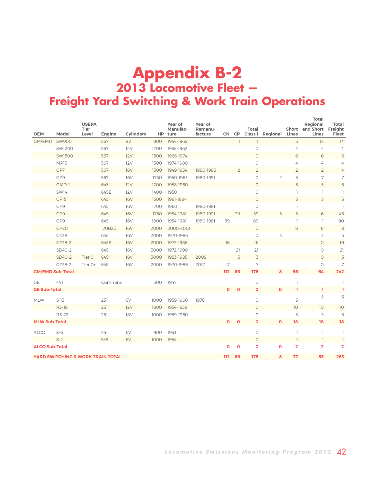### <span id="page-41-0"></span>**Appendix B-2 2013 Locomotive Fleet — Freight Yard Switching & Work Train Operations**

| <b>OEM</b>              | Model                                        | <b>USEPA</b><br><b>Tier</b><br>Level | Engine  | <b>Cylinders</b> |      | Year of<br>Manufac-<br>HP ture | Year of<br>Remanu-<br>facture |             | CN CP          | Total          | <b>Class 1 Regional</b> | Lines          | Total<br>Regional<br>Short and Short<br>Lines | Total<br>Freight<br>Fleet |
|-------------------------|----------------------------------------------|--------------------------------------|---------|------------------|------|--------------------------------|-------------------------------|-------------|----------------|----------------|-------------------------|----------------|-----------------------------------------------|---------------------------|
| GM/EMD                  | <b>SW900</b>                                 |                                      | 567     | 8V               | 900  | 1954-1965                      |                               |             | $\mathbb{I}$   |                |                         | 13             | 13                                            | 14                        |
|                         | <b>SW1200</b>                                |                                      | 567     | 12V              | 1200 | 1955-1962                      |                               |             |                | $\circ$        |                         | 4              | $\overline{4}$                                | 4                         |
|                         | <b>SW1500</b>                                |                                      | 567     | 12V              | 1500 | 1966-1974                      |                               |             |                | $\circ$        |                         | 6              | 6                                             | 6                         |
|                         | MP15                                         |                                      | 567     | 12V              | 1500 | 1974-1980                      |                               |             |                | $\circ$        |                         | 4              | 4                                             | 4                         |
|                         | GP7                                          |                                      | 567     | <b>16V</b>       | 1500 | 1949-1954                      | 1980-1988                     |             | $\overline{2}$ | $\overline{2}$ |                         | $\overline{2}$ | $\overline{2}$                                | 4                         |
|                         | GP9                                          |                                      | 567     | <b>16V</b>       | 1750 | 1950-1963                      | 1980-1991                     |             |                | $\circ$        | $\overline{2}$          | 5              | 7                                             | 7                         |
|                         | GMD-1                                        |                                      | 645     | 12V              | 1200 | 1958-1960                      |                               |             |                | $\circ$        |                         | 5              | 5                                             | 5                         |
|                         | SW14                                         |                                      | 645E    | 12V              | 1400 | 1950                           |                               |             |                | $\circ$        |                         |                | $\overline{\phantom{a}}$                      |                           |
|                         | GP15                                         |                                      | 645     | <b>16V</b>       | 1500 | 1981-1984                      |                               |             |                | $\circ$        |                         | 3              | $\overline{3}$                                | 3                         |
|                         | GP9                                          |                                      | 645     | <b>16V</b>       | 1700 | 1960                           | 1980-1981                     |             |                | $\circ$        |                         |                | 1                                             |                           |
|                         | GP9                                          |                                      | 645     | <b>16V</b>       | 1750 | 1954-1981                      | 1980-1991                     |             | 39             | 39             | 3                       | 3              | 6                                             | 45                        |
|                         | GP9                                          |                                      | 645     | <b>16V</b>       | 1800 | 1954-1981                      | 1980-1981                     | 89          |                | 89             |                         |                | $\overline{\phantom{a}}$                      | 90                        |
|                         | GP <sub>20</sub>                             |                                      | 170B20  | <b>16V</b>       | 2000 | 2000-2001                      |                               |             |                | $\circ$        |                         | 8              | 8                                             | 8                         |
|                         | GP38                                         |                                      | 645     | <b>16V</b>       | 2000 | 1970-1986                      |                               |             |                | $\circ$        | 3                       |                | 3                                             | 3                         |
|                         | GP38-2                                       |                                      | 645E    | <b>16V</b>       | 2000 | 1972-1986                      |                               | 16          |                | 16             |                         |                | $\circ$                                       | 16                        |
|                         | SD40-2                                       |                                      | 645     | <b>16V</b>       | 3000 | 1972-1990                      |                               |             | 21             | 21             |                         |                | $\circlearrowright$                           | 21                        |
|                         | SD40-2                                       | Tier <sub>0</sub>                    | 645     | <b>16V</b>       | 3000 | 1983-1985                      | 2009                          |             | 3              | 3              |                         |                | $\circ$                                       | $\overline{3}$            |
|                         | GP38-2                                       | Tier 0+                              | 645     | <b>16V</b>       | 2000 | 1970-1986                      | 2012                          | 7           |                | 7              |                         |                | $\circ$                                       | 7                         |
| <b>GM/EMD Sub-Total</b> |                                              |                                      |         |                  |      |                                |                               | 112         | 66             | 178            | 8                       | 56             | 64                                            | 242                       |
| <b>GE</b>               | 44T                                          |                                      | Cummins |                  | 300  | 1947                           |                               |             |                | $\circ$        |                         |                | 1                                             |                           |
| <b>GE Sub-Total</b>     |                                              |                                      |         |                  |      |                                |                               | O           | $\mathbf 0$    | $\Omega$       | $\Omega$                |                | T                                             | ı                         |
|                         |                                              |                                      |         |                  |      |                                |                               |             |                |                |                         |                | 5                                             | 5                         |
| <b>MLW</b>              | $S-13$                                       |                                      | 251     | 6V               | 1000 | 1959-1960                      | 1978                          |             |                | $\circ$        |                         | 5              |                                               |                           |
|                         | <b>RS-18</b>                                 |                                      | 251     | 12V              | 1800 | 1954-1958                      |                               |             |                | $\circ$        |                         | 10             | 10                                            | 10                        |
|                         | <b>RS-23</b>                                 |                                      | 251     | <b>18V</b>       | 1000 | 1959-1960                      |                               |             |                | $\circ$        |                         | 3              | 3                                             | 3                         |
| <b>MLW Sub-Total</b>    |                                              |                                      |         |                  |      |                                |                               | O           | $\Omega$       | $\Omega$       | $\Omega$                | 18             | 18                                            | 18                        |
| <b>ALCO</b>             | $S-6$                                        |                                      | 251     | 6V               | 900  | 1953                           |                               |             |                | $\circ$        |                         |                | $\overline{\phantom{a}}$                      |                           |
|                         | $S-2$                                        |                                      | 539     | 6V               | 1000 | 1954                           |                               |             |                | $\circ$        |                         |                | 1                                             |                           |
| <b>ALCO Sub-Total</b>   |                                              |                                      |         |                  |      |                                |                               | $\mathbf o$ | $\mathbf o$    | $\mathbf o$    | $\mathbf o$             | $\overline{2}$ | $\overline{2}$                                | $\overline{2}$            |
|                         | <b>YARD SWITCHING &amp; WORK TRAIN TOTAL</b> |                                      |         |                  |      |                                |                               | 112         | 66             | 178            | 8                       | 77             | 85                                            | 263                       |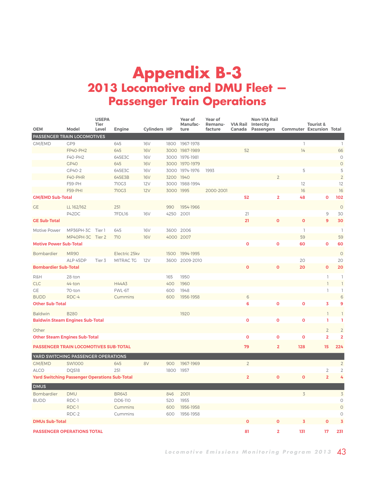### <span id="page-42-0"></span>**Appendix B-3 2013 Locomotive and DMU Fleet — Passenger Train Operations**

| <b>OEM</b>                                           | Model                             | <b>USEPA</b><br>Tier<br>Level | Engine                 | <b>Cylinders HP</b> |            | Year of<br>Manufac-<br>ture | Year of<br>Remanu-<br>facture | Canada                  | <b>Non-VIA Rail</b><br><b>VIA Rail Intercity</b><br><b>Passengers</b> | <b>Commuter Excursion Total</b> | <b>Tourist &amp;</b>    |                         |
|------------------------------------------------------|-----------------------------------|-------------------------------|------------------------|---------------------|------------|-----------------------------|-------------------------------|-------------------------|-----------------------------------------------------------------------|---------------------------------|-------------------------|-------------------------|
| PASSENGER TRAIN LOCOMOTIVES                          |                                   |                               |                        |                     |            |                             |                               |                         |                                                                       |                                 |                         |                         |
| GM/EMD                                               | GP9                               |                               | 645                    | <b>16V</b>          |            | 1800 1967-1978              |                               |                         |                                                                       | $\mathbb{I}$                    |                         | $\mathbb{I}$            |
|                                                      | FP40-PH2                          |                               | 645                    | <b>16V</b>          |            | 3000 1987-1989              |                               | 52                      |                                                                       | 14                              |                         | 66                      |
|                                                      | F40-PH2                           |                               | 645E3C                 | <b>16V</b>          |            | 3000 1976-1981              |                               |                         |                                                                       |                                 |                         | 0                       |
|                                                      | GP40                              |                               | 645                    | <b>16V</b>          |            | 3000 1970-1979              |                               |                         |                                                                       |                                 |                         | $\circ$                 |
|                                                      | GP40-2                            |                               | 645E3C                 | <b>16V</b>          |            | 3000 1974-1976              | 1993                          |                         |                                                                       | 5                               |                         | 5                       |
|                                                      | F40-PHR                           |                               | 645E3B                 | <b>16V</b>          | 3200 1940  |                             |                               |                         |                                                                       |                                 |                         | $\overline{2}$<br>12    |
|                                                      | <b>F59-PH</b><br><b>F59-PHI</b>   |                               | 710G3<br>710G3         | 12V<br>12V          | 3000 1995  | 3000 1988-1994              | 2000-2001                     |                         |                                                                       | 12<br>16                        |                         | 16                      |
| <b>GM/EMD Sub-Total</b>                              |                                   |                               |                        |                     |            |                             |                               | 52                      | $\overline{2}$                                                        | 48                              | $\overline{0}$          | 102                     |
|                                                      |                                   |                               |                        |                     |            |                             |                               |                         |                                                                       |                                 |                         |                         |
| <b>GE</b>                                            | LL 162/162                        |                               | 251                    |                     | 990        | 1954-1966                   |                               |                         |                                                                       |                                 |                         | $\circ$                 |
|                                                      | P42DC                             |                               | 7FDL16                 | <b>16V</b>          |            | 4250 2001                   |                               | 21                      |                                                                       |                                 | $\mathcal{G}$           | 30                      |
| <b>GE Sub-Total</b>                                  |                                   |                               |                        |                     |            |                             |                               | 21                      | $\mathbf{o}$                                                          | $\mathbf o$                     | 9                       | 30                      |
| Motive Power                                         | MP36PH-3C                         | Tier 1                        | 645                    | <b>16V</b>          |            | 3600 2006                   |                               |                         |                                                                       | $\mathbb{I}$                    |                         | $\mathbb{I}$            |
|                                                      | MP40PH-3C Tier 2                  |                               | 710                    | <b>16V</b>          |            | 4000 2007                   |                               |                         |                                                                       | 59                              |                         | 59                      |
| <b>Motive Power Sub-Total</b>                        |                                   |                               |                        |                     |            |                             |                               | $\mathbf 0$             | $\mathbf{o}$                                                          | 60                              | $\mathbf 0$             | 60                      |
| Bombardier                                           | <b>MR90</b>                       |                               | Electric 25kv          |                     |            | 1500 1994-1995              |                               |                         |                                                                       |                                 |                         | $\circ$                 |
|                                                      | ALP 45DP                          | Tier 3                        | MITRAC TG              | 12V                 | 3600       | 2009-2010                   |                               |                         |                                                                       | 20                              |                         | 20                      |
| <b>Bombardier Sub-Total</b>                          |                                   |                               |                        |                     |            |                             |                               |                         | 0                                                                     | 20                              | $\mathbf 0$             | 20                      |
|                                                      |                                   |                               |                        |                     |            |                             |                               |                         |                                                                       |                                 |                         |                         |
| R&H                                                  | 28-ton                            |                               |                        |                     | 165        | 1950                        |                               |                         |                                                                       |                                 | 1                       | ı<br>$\overline{1}$     |
| <b>CLC</b>                                           | 44-ton                            |                               | <b>H44A3</b><br>FWL-6T |                     | 400        | 1960                        |                               |                         |                                                                       |                                 | $\overline{1}$<br>1     | ı                       |
| <b>GE</b><br><b>BUDD</b>                             | 70-ton<br>RDC-4                   |                               |                        |                     | 600<br>600 | 1948<br>1956-1958           |                               | 6                       |                                                                       |                                 |                         | $\sqrt{6}$              |
| <b>Other Sub-Total</b>                               |                                   |                               | Cummins                |                     |            |                             |                               | 6                       | $\mathbf{o}$                                                          | $\overline{0}$                  | 3                       | 9                       |
|                                                      |                                   |                               |                        |                     |            |                             |                               |                         |                                                                       |                                 |                         |                         |
| <b>Baldwin</b>                                       | <b>B280</b>                       |                               |                        |                     |            | 1920                        |                               |                         |                                                                       |                                 |                         | 1                       |
| <b>Baldwin Steam Engines Sub-Total</b>               |                                   |                               |                        |                     |            |                             |                               | $\mathbf 0$             | $\mathbf 0$                                                           | $\overline{0}$                  | ı                       | 1                       |
| Other                                                |                                   |                               |                        |                     |            |                             |                               |                         |                                                                       |                                 | $\overline{2}$          | $\overline{2}$          |
| <b>Other Steam Engines Sub-Total</b>                 |                                   |                               |                        |                     |            |                             |                               | $\mathbf 0$             | $\mathbf 0$                                                           | $\mathbf 0$                     | $\overline{\mathbf{2}}$ | $\overline{\mathbf{2}}$ |
| <b>PASSENGER TRAIN LOCOMOTIVES SUB-TOTAL</b>         |                                   |                               |                        |                     |            |                             |                               | 79                      | $\overline{2}$                                                        | 128                             | 15                      | 224                     |
| YARD SWITCHING PASSENGER OPERATIONS                  |                                   |                               |                        |                     |            |                             |                               |                         |                                                                       |                                 |                         |                         |
| GM/EMD                                               | <b>SW1000</b>                     |                               | 645                    | 8V                  | 900        | 1967-1969                   |                               | $\overline{2}$          |                                                                       |                                 |                         | $\overline{2}$          |
| <b>ALCO</b>                                          | DQS18                             |                               | 251                    |                     | 1800       | 1957                        |                               |                         |                                                                       |                                 | $\overline{c}$          | $\overline{c}$          |
| <b>Yard Switching Passenger Operations Sub-Total</b> |                                   |                               |                        |                     |            |                             |                               | $\overline{\mathbf{2}}$ | Ō                                                                     | $\mathbf 0$                     | $\overline{2}$          | 4                       |
| <b>DMUS</b>                                          |                                   |                               |                        |                     |            |                             |                               |                         |                                                                       |                                 |                         |                         |
| Bombardier                                           | <b>DMU</b>                        |                               | <b>BR643</b>           |                     | 846        | 2001                        |                               |                         |                                                                       | $\overline{3}$                  |                         | $\overline{3}$          |
| <b>BUDD</b>                                          | RDC-1                             |                               | DD6-110                |                     | 520        | 1955                        |                               |                         |                                                                       |                                 |                         | $\circ$                 |
|                                                      | RDC-1                             |                               | Cummins                |                     | 600        | 1956-1958                   |                               |                         |                                                                       |                                 |                         | $\circ$                 |
|                                                      | RDC-2                             |                               | Cummins                |                     | 600        | 1956-1958                   |                               |                         |                                                                       |                                 |                         | $\circ$                 |
| <b>DMUs Sub-Total</b>                                |                                   |                               |                        |                     |            |                             |                               |                         |                                                                       | 3                               | $\mathbf 0$             | $\overline{3}$          |
|                                                      | <b>PASSENGER OPERATIONS TOTAL</b> |                               |                        |                     |            |                             |                               |                         | 2                                                                     | 131                             | 17                      | 231                     |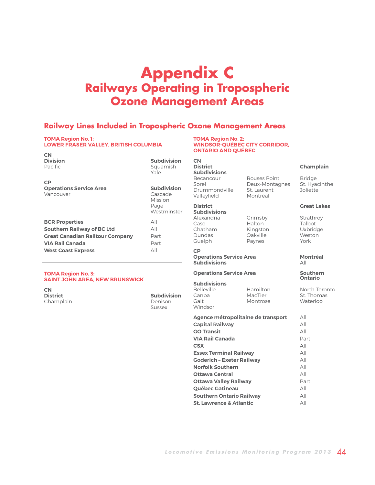### <span id="page-43-0"></span>**Appendix C Railways Operating in Tropospheric Ozone Management Areas**

### **Railway Lines Included in Tropospheric Ozone Management Areas**

#### **TOMA Region No. 1: LOWER FRASER VALLEY, BRITISH COLUMBIA**

| <b>CN</b><br><b>Division</b><br>Pacific                  | <b>Subdivision</b><br>Squamish<br>Yale                          |
|----------------------------------------------------------|-----------------------------------------------------------------|
| <b>CP</b><br><b>Operations Service Area</b><br>Vancouver | <b>Subdivision</b><br>Cascade<br>Mission<br>Page<br>Westminster |
| <b>BCR Properties</b>                                    | ΑII                                                             |
|                                                          |                                                                 |
| <b>Southern Railway of BC Ltd</b>                        | ΑII                                                             |
| <b>Great Canadian Railtour Company</b>                   | Part                                                            |
| <b>VIA Rail Canada</b>                                   | Part                                                            |
| <b>West Coast Express</b>                                | All                                                             |

### **TOMA Region No. 3: SAINT JOHN AREA, NEW BRUNSWICK**

**CN** Champlain **Denison** 

**Subdivision** Sussex

#### **TOMA Region No. 2: WINDSOR-QUÉBEC CITY CORRIDOR, ONTARIO AND QUÉBEC**

**CN Subdivisions** Sorel Deux-Montagnes St. Hyacinthe Drummondville St. Laurent Joliette<br>Valleyfield Montréal Valleyfield

**Subdivisions** Alexandria Grimsby Strathroy Chatham Kingston Uxbridge Guelph Paynes

### **CP**

**Operations Service Area Montréal Subdivisions** 

### **Operations Service Area Southern**

### **Subdivisions**

Windsor

Canpa MacTier St. Thomas Montrose

Halton

| Agence métropolitaine de transport | All  |
|------------------------------------|------|
| <b>Capital Railway</b>             | All  |
| <b>GO Transit</b>                  | All  |
| <b>VIA Rail Canada</b>             | Part |
| <b>CSX</b>                         | All  |
| <b>Essex Terminal Railway</b>      | All  |
| <b>Goderich - Exeter Railway</b>   | All  |
| <b>Norfolk Southern</b>            | All  |
| Ottawa Central                     | All  |
| Ottawa Valley Railway              | Part |
| <b>Québec Gatineau</b>             | All  |
| <b>Southern Ontario Railway</b>    | All  |
| <b>St. Lawrence &amp; Atlantic</b> | All  |

### **District Champlain**

Rouses Point Bridge

#### **District Creat Lakes**

Oakville West<br>Paynes York

### **Ontario**

Hamilton North Toronto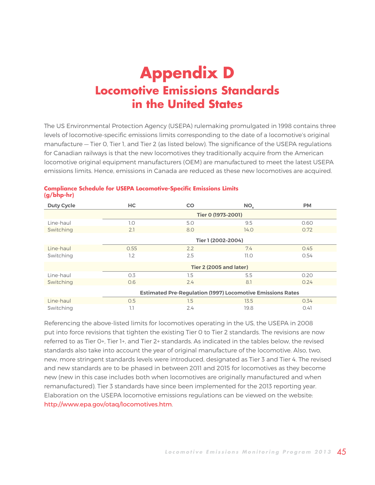### <span id="page-44-0"></span>**Appendix D Locomotive Emissions Standards in the United States**

The US Environmental Protection Agency (USEPA) rulemaking promulgated in 1998 contains three levels of locomotive-specific emissions limits corresponding to the date of a locomotive's original manufacture — Tier 0, Tier 1, and Tier 2 (as listed below). The significance of the USEPA regulations for Canadian railways is that the new locomotives they traditionally acquire from the American locomotive original equipment manufacturers (OEM) are manufactured to meet the latest USEPA emissions limits. Hence, emissions in Canada are reduced as these new locomotives are acquired.

| <b>Duty Cycle</b>                                                 | <b>HC</b>          | <b>CO</b>                      | NO <sub>v</sub> | <b>PM</b> |  |  |  |  |
|-------------------------------------------------------------------|--------------------|--------------------------------|-----------------|-----------|--|--|--|--|
|                                                                   | Tier 0 (1973-2001) |                                |                 |           |  |  |  |  |
| Line-haul                                                         | 1.0                | 5.0                            | 9.5             | 0.60      |  |  |  |  |
| Switching                                                         | 2.1                | 8.0                            | 14.0            | 0.72      |  |  |  |  |
|                                                                   |                    | Tier 1 (2002-2004)             |                 |           |  |  |  |  |
| Line-haul                                                         | 0.55               | 2.2                            | 7.4             | 0.45      |  |  |  |  |
| Switching                                                         | 1.2                | 2.5                            | 11.0            | 0.54      |  |  |  |  |
|                                                                   |                    | <b>Tier 2 (2005 and later)</b> |                 |           |  |  |  |  |
| Line-haul                                                         | 0.3                | 1.5                            | 5.5             | 0.20      |  |  |  |  |
| Switching                                                         | O.6                | 2.4                            | 8.1             | 0.24      |  |  |  |  |
| <b>Estimated Pre-Regulation (1997) Locomotive Emissions Rates</b> |                    |                                |                 |           |  |  |  |  |
| Line-haul                                                         | 0.5                | 1.5                            | 13.5            | 0.34      |  |  |  |  |
| Switching                                                         | 1.1                | 2.4                            | 19.8            | 0.41      |  |  |  |  |

### **Compliance Schedule for USEPA Locomotive-Specific Emissions Limits (g/bhp-hr)**

Referencing the above-listed limits for locomotives operating in the US, the USEPA in 2008 put into force revisions that tighten the existing Tier 0 to Tier 2 standards. The revisions are now referred to as Tier 0+, Tier 1+, and Tier 2+ standards. As indicated in the tables below, the revised standards also take into account the year of original manufacture of the locomotive. Also, two, new, more stringent standards levels were introduced, designated as Tier 3 and Tier 4. The revised and new standards are to be phased in between 2011 and 2015 for locomotives as they become new (new in this case includes both when locomotives are originally manufactured and when remanufactured). Tier 3 standards have since been implemented for the 2013 reporting year. Elaboration on the USEPA locomotive emissions regulations can be viewed on the website: <http://www.epa.gov/otaq/locomotives.htm>.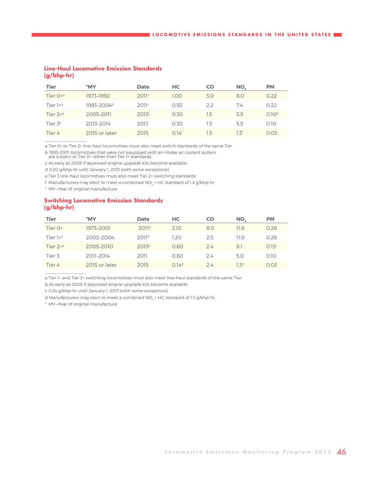### **Line-Haul Locomotive Emission Standards (g/bhp-hr)**

| <b>Tier</b>            | *MY                    | <b>Date</b>       | <b>HC</b>         | CO      | NO.              | <b>PM</b>         |
|------------------------|------------------------|-------------------|-------------------|---------|------------------|-------------------|
| Tier $O +a$            | 1973-1992              | 2011c             | 1.00              | 5.0     | 8.0              | 0.22              |
| Tier $1 + a$           | 1993-2004 <sup>b</sup> | 2011c             | 0.55              | 22      | 74               | 0.22              |
| Tier $2+$ <sup>a</sup> | 2005-2011              | 2013 <sup>c</sup> | 0.30              | 1.5     | 5.5              | 0.10 <sup>d</sup> |
| Tier 3 <sup>e</sup>    | 2013-2014              | 2013              | 0.30              | $1.5\,$ | 5.5              | 0.10              |
| Tier 4                 | 2015 or later          | 2015              | 0.14 <sup>f</sup> | 1.5     | 1.3 <sup>f</sup> | 0.03              |

a Tier 0+ to Tier 2+ line-haul locomotives must also meet switch standards of the same Tier.

b 1993–2001 locomotives that were not equipped with an intake air coolant system

are subject to Tier 0+ rather than Tier 1+ standards.

c As early as 2008 if approved engine upgrade kits become available.

d 0.20 g/bhp-hr until January 1, 2013 (with some exceptions).

e Tier 3 line-haul locomotives must also meet Tier 2+ switching standards.

f Manufacturers may elect to meet a combined  $NO<sub>x</sub> + HC$  standard of 1.4 g/bhp-hr.

\* MY—Year of original manufacture

 $\frac{1}{2}$  ,  $\frac{1}{2}$  ,  $\frac{1}{2}$  ,  $\frac{1}{2}$  ,  $\frac{1}{2}$  ,  $\frac{1}{2}$  ,  $\frac{1}{2}$  ,  $\frac{1}{2}$  ,  $\frac{1}{2}$  ,  $\frac{1}{2}$ 

### **Switching Locomotive Emission Standards (g/bhp-hr)**

| <b>Tier</b>            | *MY           | <b>Date</b>       | <b>HC</b>         | CO  | NO <sub>v</sub>  | <b>PM</b> |
|------------------------|---------------|-------------------|-------------------|-----|------------------|-----------|
| Tier O+                | 1973-2001     | 2011 <sup>b</sup> | 2.10              | 8.0 | 11.8             | 0.26      |
| Tier $1 + a$           | 2002-2004     | 2011 <sup>b</sup> | 1.20              | 2.5 | 11.O             | 0.26      |
| Tier $2+$ <sup>a</sup> | 2005-2010     | 2013 <sup>b</sup> | 0.60              | 24  | 8.1              | 0.13c     |
| Tier 3                 | 2011-2014     | 2011              | 0.60              | 24  | 5.0              | 0.10      |
| Tier 4                 | 2015 or later | 2015              | 0.14 <sup>d</sup> | 24  | 1.3 <sup>d</sup> | 0.03      |

a Tier 1+ and Tier 2+ switching locomotives must also meet line-haul standards of the same Tier.

b As early as 2008 if approved engine upgrade kits become available.

c 0.24 g/bhp-hr until January 1, 2013 (with some exceptions).

d Manufacturers may elect to meet a combined NO<sub>x</sub> + HC standard of 1.3 g/bhp-hr.

\* MY—Year of original manufacture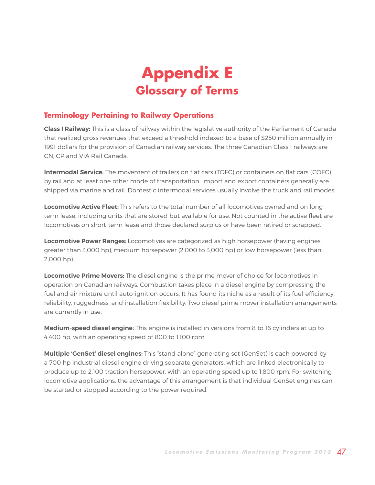## **Appendix E Glossary of Terms**

### <span id="page-46-0"></span>**Terminology Pertaining to Railway Operations**

**Class I Railway:** This is a class of railway within the legislative authority of the Parliament of Canada that realized gross revenues that exceed a threshold indexed to a base of \$250 million annually in 1991 dollars for the provision of Canadian railway services. The three Canadian Class I railways are CN, CP and VIA Rail Canada.

**Intermodal Service:** The movement of trailers on flat cars (TOFC) or containers on flat cars (COFC) by rail and at least one other mode of transportation. Import and export containers generally are shipped via marine and rail. Domestic intermodal services usually involve the truck and rail modes.

**Locomotive Active Fleet:** This refers to the total number of all locomotives owned and on longterm lease, including units that are stored but available for use. Not counted in the active fleet are locomotives on short-term lease and those declared surplus or have been retired or scrapped.

**Locomotive Power Ranges:** Locomotives are categorized as high horsepower (having engines greater than 3,000 hp), medium horsepower (2,000 to 3,000 hp) or low horsepower (less than 2,000 hp).

**Locomotive Prime Movers:** The diesel engine is the prime mover of choice for locomotives in operation on Canadian railways. Combustion takes place in a diesel engine by compressing the fuel and air mixture until auto-ignition occurs. It has found its niche as a result of its fuel-efficiency, reliability, ruggedness, and installation flexibility. Two diesel prime mover installation arrangements are currently in use:

**Medium-speed diesel engine:** This engine is installed in versions from 8 to 16 cylinders at up to 4,400 hp, with an operating speed of 800 to 1,100 rpm.

**Multiple 'GenSet' diesel engines:** This "stand alone" generating set (GenSet) is each powered by a 700 hp industrial diesel engine driving separate generators, which are linked electronically to produce up to 2,100 traction horsepower, with an operating speed up to 1,800 rpm. For switching locomotive applications, the advantage of this arrangement is that individual GenSet engines can be started or stopped according to the power required.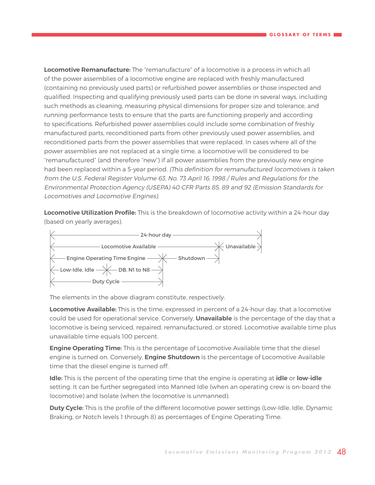**Locomotive Remanufacture:** The "remanufacture" of a locomotive is a process in which all of the power assemblies of a locomotive engine are replaced with freshly manufactured (containing no previously used parts) or refurbished power assemblies or those inspected and qualified. Inspecting and qualifying previously used parts can be done in several ways, including such methods as cleaning, measuring physical dimensions for proper size and tolerance, and running performance tests to ensure that the parts are functioning properly and according to specifications. Refurbished power assemblies could include some combination of freshly manufactured parts, reconditioned parts from other previously used power assemblies, and reconditioned parts from the power assemblies that were replaced. In cases where all of the power assemblies are not replaced at a single time, a locomotive will be considered to be "remanufactured" (and therefore "new") if all power assemblies from the previously new engine had been replaced within a 5-year period. (This definition for remanufactured locomotives is taken from the U.S. Federal Register Volume 63, No. 73 April 16, 1998 / Rules and Regulations for the Environmental Protection Agency (USEPA) 40 CFR Parts 85, 89 and 92 (Emission Standards for Locomotives and Locomotive Engines).

**Locomotive Utilization Profile:** This is the breakdown of locomotive activity within a 24-hour day (based on yearly averages).



The elements in the above diagram constitute, respectively:

**Locomotive Available:** This is the time, expressed in percent of a 24-hour day, that a locomotive could be used for operational service. Conversely, **Unavailable** is the percentage of the day that a locomotive is being serviced, repaired, remanufactured, or stored. Locomotive available time plus unavailable time equals 100 percent.

**Engine Operating Time:** This is the percentage of Locomotive Available time that the diesel engine is turned on. Conversely, **Engine Shutdown** is the percentage of Locomotive Available time that the diesel engine is turned off.

**Idle:** This is the percent of the operating time that the engine is operating at **idle** or **low-idle** setting. It can be further segregated into Manned Idle (when an operating crew is on-board the locomotive) and Isolate (when the locomotive is unmanned).

**Duty Cycle:** This is the profile of the different locomotive power settings (Low-Idle, Idle, Dynamic Braking, or Notch levels 1 through 8) as percentages of Engine Operating Time.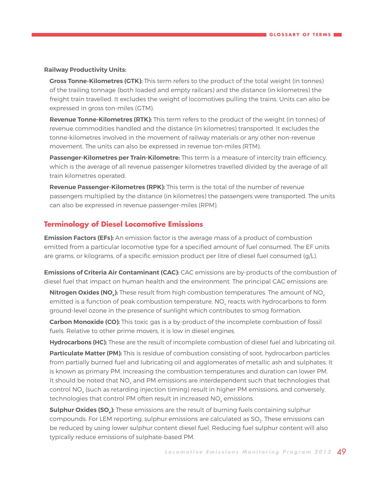### **Railway Productivity Units:**

**Gross Tonne-Kilometres (GTK):** This term refers to the product of the total weight (in tonnes) of the trailing tonnage (both loaded and empty railcars) and the distance (in kilometres) the freight train travelled. It excludes the weight of locomotives pulling the trains. Units can also be expressed in gross ton-miles (GTM).

**Revenue Tonne-Kilometres (RTK):** This term refers to the product of the weight (in tonnes) of revenue commodities handled and the distance (in kilometres) transported. It excludes the tonne-kilometres involved in the movement of railway materials or any other non-revenue movement. The units can also be expressed in revenue ton-miles (RTM).

**Passenger-Kilometres per Train-Kilometre:** This term is a measure of intercity train efficiency, which is the average of all revenue passenger kilometres travelled divided by the average of all train kilometres operated.

**Revenue Passenger-Kilometres (RPK):** This term is the total of the number of revenue passengers multiplied by the distance (in kilometres) the passengers were transported. The units can also be expressed in revenue passenger-miles (RPM).

### **Terminology of Diesel Locomotive Emissions**

**Emission Factors (EFs):** An emission factor is the average mass of a product of combustion emitted from a particular locomotive type for a specified amount of fuel consumed. The EF units are grams, or kilograms, of a specific emission product per litre of diesel fuel consumed (g/L).

**Emissions of Criteria Air Contaminant (CAC):** CAC emissions are by-products of the combustion of diesel fuel that impact on human health and the environment. The principal CAC emissions are:

**Nitrogen Oxides (NO<sub>x</sub>):** These result from high combustion temperatures. The amount of NO<sub>x</sub> emitted is a function of peak combustion temperature. NO<sub>y</sub> reacts with hydrocarbons to form ground-level ozone in the presence of sunlight which contributes to smog formation.

**Carbon Monoxide (CO):** This toxic gas is a by-product of the incomplete combustion of fossil fuels. Relative to other prime movers, it is low in diesel engines.

**Hydrocarbons (HC):** These are the result of incomplete combustion of diesel fuel and lubricating oil.

Particulate Matter (PM): This is residue of combustion consisting of soot, hydrocarbon particles from partially burned fuel and lubricating oil and agglomerates of metallic ash and sulphates. It is known as primary PM. Increasing the combustion temperatures and duration can lower PM. It should be noted that  $NO<sub>v</sub>$  and PM emissions are interdependent such that technologies that control NO<sub>y</sub> (such as retarding injection timing) result in higher PM emissions, and conversely, technologies that control PM often result in increased NO<sub>v</sub> emissions.

**Sulphur Oxides (SO<sub>x</sub>):** These emissions are the result of burning fuels containing sulphur compounds. For LEM reporting, sulphur emissions are calculated as SO<sub>2</sub>. These emissions can be reduced by using lower sulphur content diesel fuel. Reducing fuel sulphur content will also typically reduce emissions of sulphate-based PM.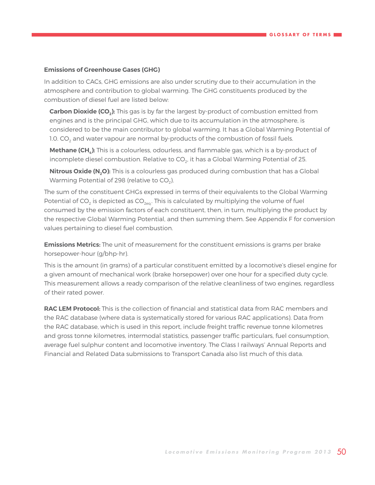### **Emissions of Greenhouse Gases (GHG)**

In addition to CACs, GHG emissions are also under scrutiny due to their accumulation in the atmosphere and contribution to global warming. The GHG constituents produced by the combustion of diesel fuel are listed below:

**Carbon Dioxide (CO<sub>2</sub>):** This gas is by far the largest by-product of combustion emitted from engines and is the principal GHG, which due to its accumulation in the atmosphere, is considered to be the main contributor to global warming. It has a Global Warming Potential of 1.0. CO<sub>2</sub> and water vapour are normal by-products of the combustion of fossil fuels.

**Methane (CH<sub>c</sub>):** This is a colourless, odourless, and flammable gas, which is a by-product of incomplete diesel combustion. Relative to CO<sub>2</sub>, it has a Global Warming Potential of 25.

**Nitrous Oxide (N<sub>2</sub>O):** This is a colourless gas produced during combustion that has a Global Warming Potential of 298 (relative to  $CO<sub>2</sub>$ ).

The sum of the constituent GHGs expressed in terms of their equivalents to the Global Warming Potential of CO<sub>2</sub> is depicted as CO<sub>2eq</sub>. This is calculated by multiplying the volume of fuel consumed by the emission factors of each constituent, then, in turn, multiplying the product by the respective Global Warming Potential, and then summing them. See Appendix F for conversion values pertaining to diesel fuel combustion.

**Emissions Metrics:** The unit of measurement for the constituent emissions is grams per brake horsepower-hour (g/bhp-hr).

This is the amount (in grams) of a particular constituent emitted by a locomotive's diesel engine for a given amount of mechanical work (brake horsepower) over one hour for a specified duty cycle. This measurement allows a ready comparison of the relative cleanliness of two engines, regardless of their rated power.

**RAC LEM Protocol:** This is the collection of financial and statistical data from RAC members and the RAC database (where data is systematically stored for various RAC applications). Data from the RAC database, which is used in this report, include freight traffic revenue tonne kilometres and gross tonne kilometres, intermodal statistics, passenger traffic particulars, fuel consumption, average fuel sulphur content and locomotive inventory. The Class I railways' Annual Reports and Financial and Related Data submissions to Transport Canada also list much of this data.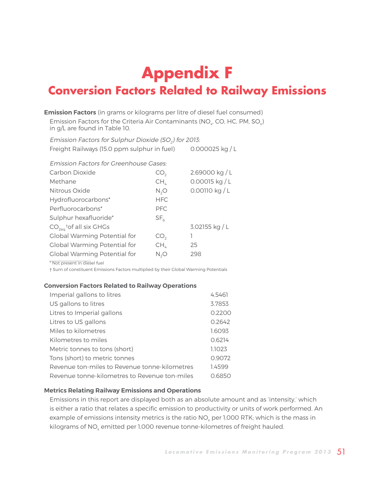## <span id="page-50-0"></span>**Appendix F Conversion Factors Related to Railway Emissions**

**Emission Factors** (in grams or kilograms per litre of diesel fuel consumed) Emission Factors for the Criteria Air Contaminants (NO<sub>y</sub>, CO, HC, PM, SO<sub>y</sub>) in g/L are found in Table 10.

Emission Factors for Sulphur Dioxide (SO<sub>2</sub>) for 2013: Freight Railways (15.0 ppm sulphur in fuel) 0.000025 kg / L

Emission Factors for Greenhouse Gases:

| Carbon Dioxide                      | CO,             | 2.69000 kg / L   |
|-------------------------------------|-----------------|------------------|
| Methane                             | CH <sub>4</sub> | $0.00015$ kg / L |
| Nitrous Oxide                       | N, O            | 0.00110 kg / L   |
| Hydrofluorocarbons*                 | <b>HFC</b>      |                  |
| Perfluorocarbons*                   | <b>PFC</b>      |                  |
| Sulphur hexafluoride*               | SF <sub>6</sub> |                  |
| $CO_{2eq}$ tof all six GHGs         |                 | 3.02155 kg / L   |
| Global Warming Potential for        | CO <sub>2</sub> | 1                |
| <b>Global Warming Potential for</b> | $CH_{4}$        | 25               |
| <b>Global Warming Potential for</b> | N, O            | 298              |
|                                     |                 |                  |

\* Not present in diesel fuel

† Sum of constituent Emissions Factors multiplied by their Global Warming Potentials

### **Conversion Factors Related to Railway Operations**

| Imperial gallons to litres                    | 4.5461 |
|-----------------------------------------------|--------|
| US gallons to litres                          | 3.7853 |
| Litres to Imperial gallons                    | 0.2200 |
| Litres to US gallons                          | 0.2642 |
| Miles to kilometres                           | 1.6093 |
| Kilometres to miles                           | 0.6214 |
| Metric tonnes to tons (short)                 | 1.1023 |
| Tons (short) to metric tonnes                 | 0.9072 |
| Revenue ton-miles to Revenue tonne-kilometres | 1.4599 |
| Revenue tonne-kilometres to Revenue ton-miles | 0.6850 |

### **Metrics Relating Railway Emissions and Operations**

Emissions in this report are displayed both as an absolute amount and as 'intensity,' which is either a ratio that relates a specific emission to productivity or units of work performed. An example of emissions intensity metrics is the ratio NO<sub>x</sub> per 1,000 RTK; which is the mass in kilograms of NO<sub>y</sub> emitted per 1,000 revenue tonne-kilometres of freight hauled.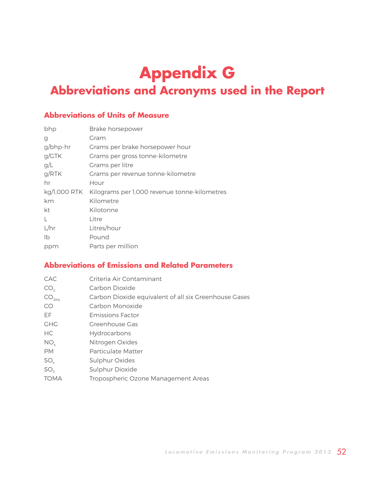## <span id="page-51-0"></span>**Appendix G Abbreviations and Acronyms used in the Report**

### **Abbreviations of Units of Measure**

| bhp          | Brake horsepower                             |
|--------------|----------------------------------------------|
| g            | Gram                                         |
| g/bhp-hr     | Grams per brake horsepower hour              |
| g/GTK        | Grams per gross tonne-kilometre              |
| g/L          | Grams per litre                              |
| g/RTK        | Grams per revenue tonne-kilometre            |
| hr           | Hour                                         |
| kg/1,000 RTK | Kilograms per 1,000 revenue tonne-kilometres |
| km           | Kilometre                                    |
| kt           | Kilotonne                                    |
| L            | Litre                                        |
| L/hr         | Litres/hour                                  |
| Ib           | Pound                                        |
| ppm          | Parts per million                            |
|              |                                              |

### **Abbreviations of Emissions and Related Parameters**

| <b>CAC</b>        | Criteria Air Contaminant                              |
|-------------------|-------------------------------------------------------|
| CO <sub>2</sub>   | Carbon Dioxide                                        |
| CO <sub>2eq</sub> | Carbon Dioxide equivalent of all six Greenhouse Gases |
| CO                | Carbon Monoxide                                       |
| EF                | <b>Emissions Factor</b>                               |
| <b>GHG</b>        | Greenhouse Gas                                        |
| HC.               | Hydrocarbons                                          |
| NO <sub>v</sub>   | Nitrogen Oxides                                       |
| <b>PM</b>         | Particulate Matter                                    |
| $SO_{v}$          | Sulphur Oxides                                        |
| SO <sub>2</sub>   | Sulphur Dioxide                                       |
| <b>TOMA</b>       | Tropospheric Ozone Management Areas                   |
|                   |                                                       |